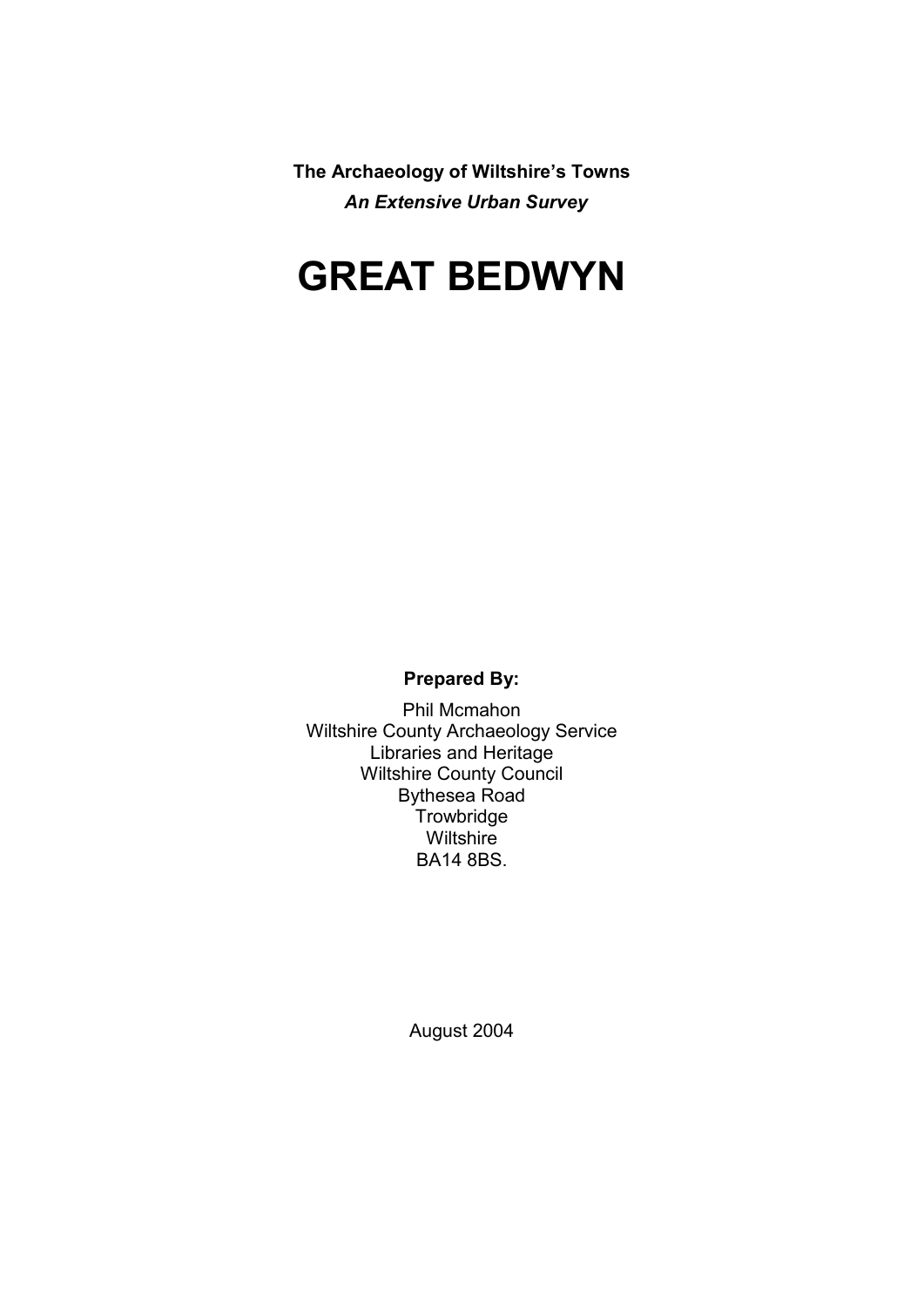**The Archaeology of Wiltshire's Towns** *An Extensive Urban Survey*

# **GREAT BEDWYN**

**Prepared By:** 

Phil Mcmahon Wiltshire County Archaeology Service Libraries and Heritage Wiltshire County Council Bythesea Road **Trowbridge Wiltshire** BA14 8BS.

August 2004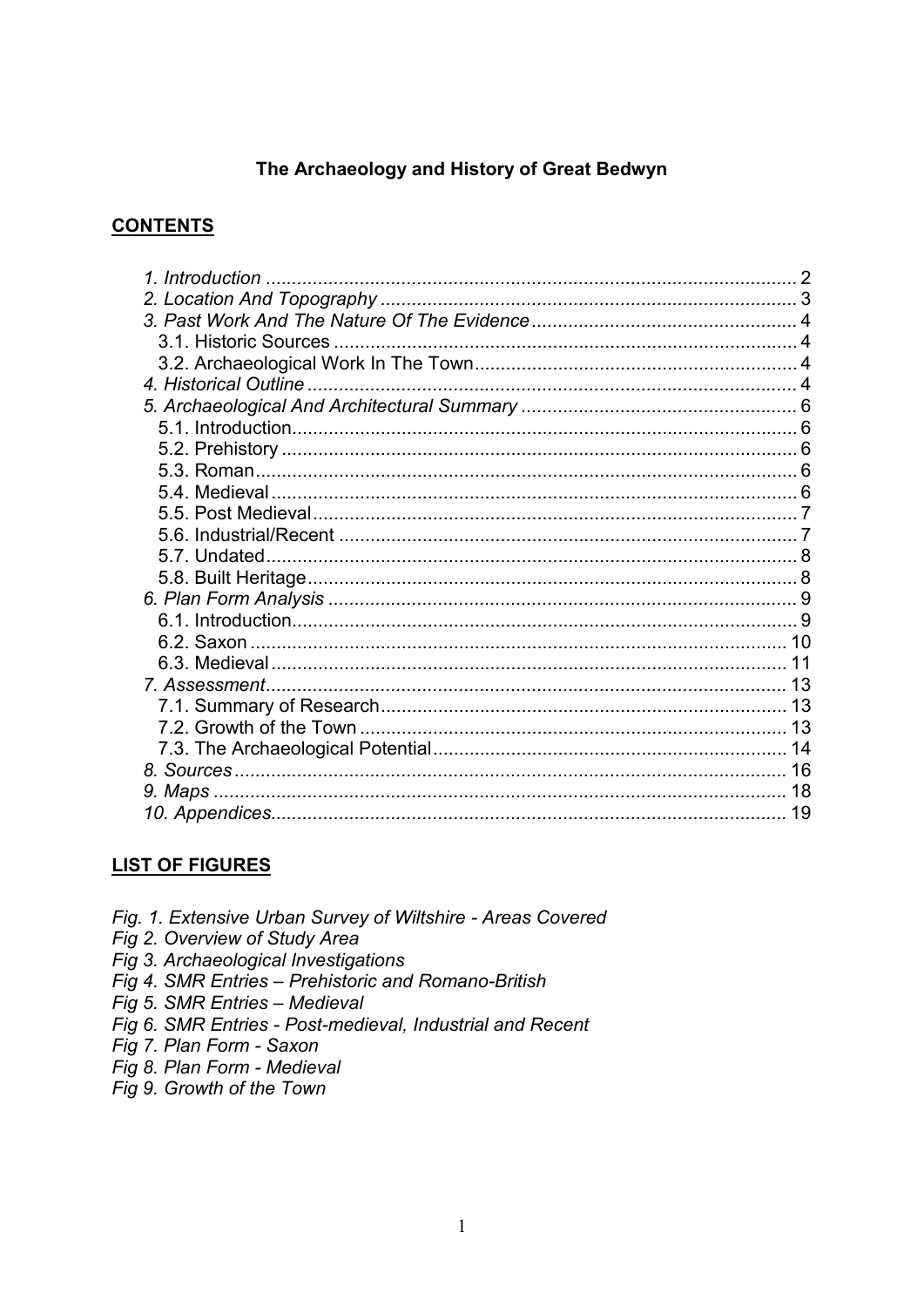## The Archaeology and History of Great Bedwyn

## **CONTENTS**

## **LIST OF FIGURES**

- Fig. 1. Extensive Urban Survey of Wiltshire Areas Covered
- Fig 2. Overview of Study Area
- Fig 3. Archaeological Investigations
- Fig 4. SMR Entries Prehistoric and Romano-British
- Fig 5. SMR Entries Medieval
- Fig 6. SMR Entries Post-medieval, Industrial and Recent
- Fig 7. Plan Form Saxon
- Fig 8. Plan Form Medieval
- Fig 9. Growth of the Town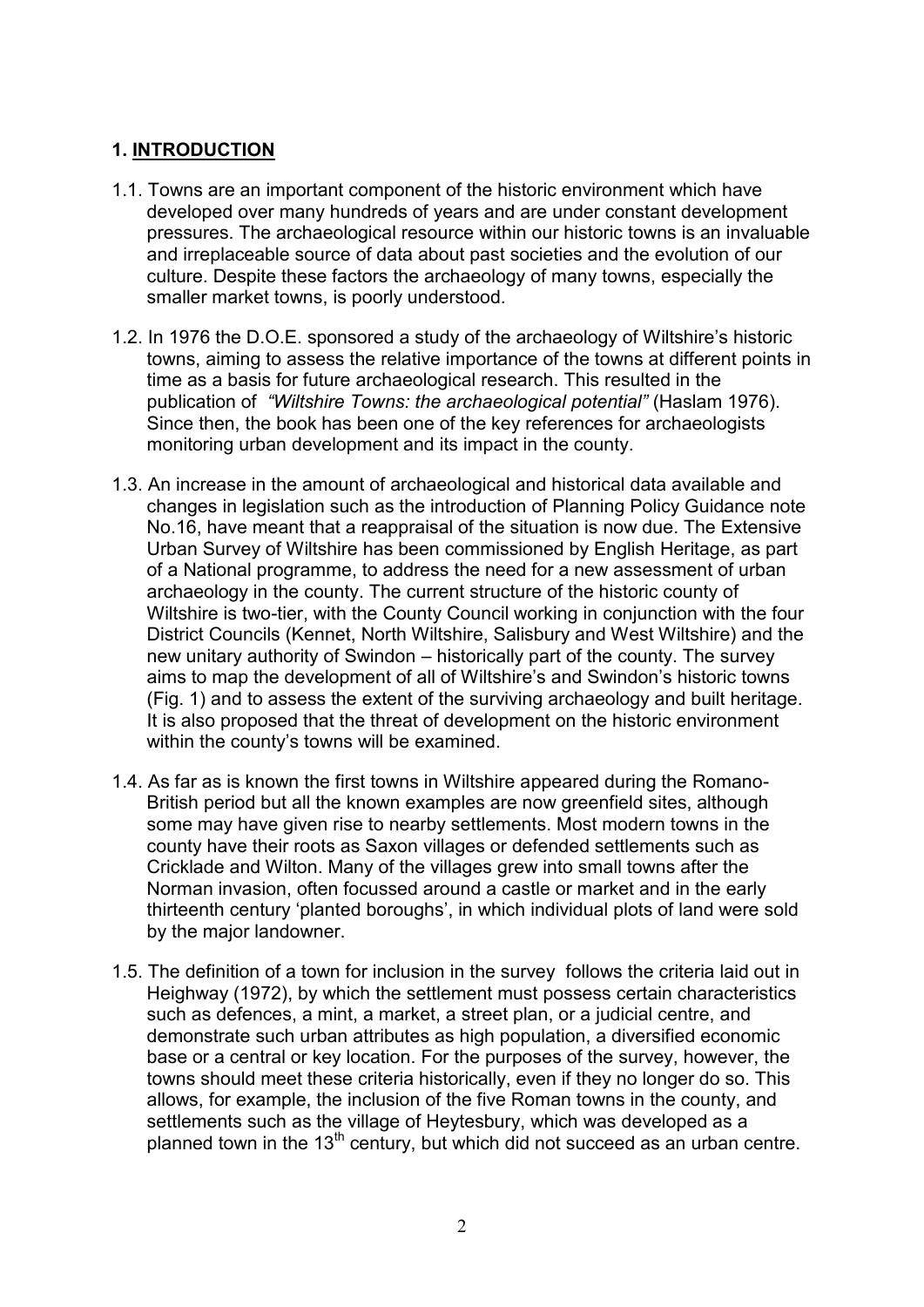## **1. INTRODUCTION**

- 1.1. Towns are an important component of the historic environment which have developed over many hundreds of years and are under constant development pressures. The archaeological resource within our historic towns is an invaluable and irreplaceable source of data about past societies and the evolution of our culture. Despite these factors the archaeology of many towns, especially the smaller market towns, is poorly understood.
- 1.2. In 1976 the D.O.E. sponsored a study of the archaeology of Wiltshire's historic towns, aiming to assess the relative importance of the towns at different points in time as a basis for future archaeological research. This resulted in the publication of *"Wiltshire Towns: the archaeological potential"* (Haslam 1976). Since then, the book has been one of the key references for archaeologists monitoring urban development and its impact in the county.
- 1.3. An increase in the amount of archaeological and historical data available and changes in legislation such as the introduction of Planning Policy Guidance note No.16, have meant that a reappraisal of the situation is now due. The Extensive Urban Survey of Wiltshire has been commissioned by English Heritage, as part of a National programme, to address the need for a new assessment of urban archaeology in the county. The current structure of the historic county of Wiltshire is two-tier, with the County Council working in conjunction with the four District Councils (Kennet, North Wiltshire, Salisbury and West Wiltshire) and the new unitary authority of Swindon – historically part of the county. The survey aims to map the development of all of Wiltshire's and Swindon's historic towns (Fig. 1) and to assess the extent of the surviving archaeology and built heritage. It is also proposed that the threat of development on the historic environment within the county's towns will be examined.
- 1.4. As far as is known the first towns in Wiltshire appeared during the Romano-British period but all the known examples are now greenfield sites, although some may have given rise to nearby settlements. Most modern towns in the county have their roots as Saxon villages or defended settlements such as Cricklade and Wilton. Many of the villages grew into small towns after the Norman invasion, often focussed around a castle or market and in the early thirteenth century 'planted boroughs', in which individual plots of land were sold by the major landowner.
- 1.5. The definition of a town for inclusion in the survey follows the criteria laid out in Heighway (1972), by which the settlement must possess certain characteristics such as defences, a mint, a market, a street plan, or a judicial centre, and demonstrate such urban attributes as high population, a diversified economic base or a central or key location. For the purposes of the survey, however, the towns should meet these criteria historically, even if they no longer do so. This allows, for example, the inclusion of the five Roman towns in the county, and settlements such as the village of Heytesbury, which was developed as a planned town in the  $13<sup>th</sup>$  century, but which did not succeed as an urban centre.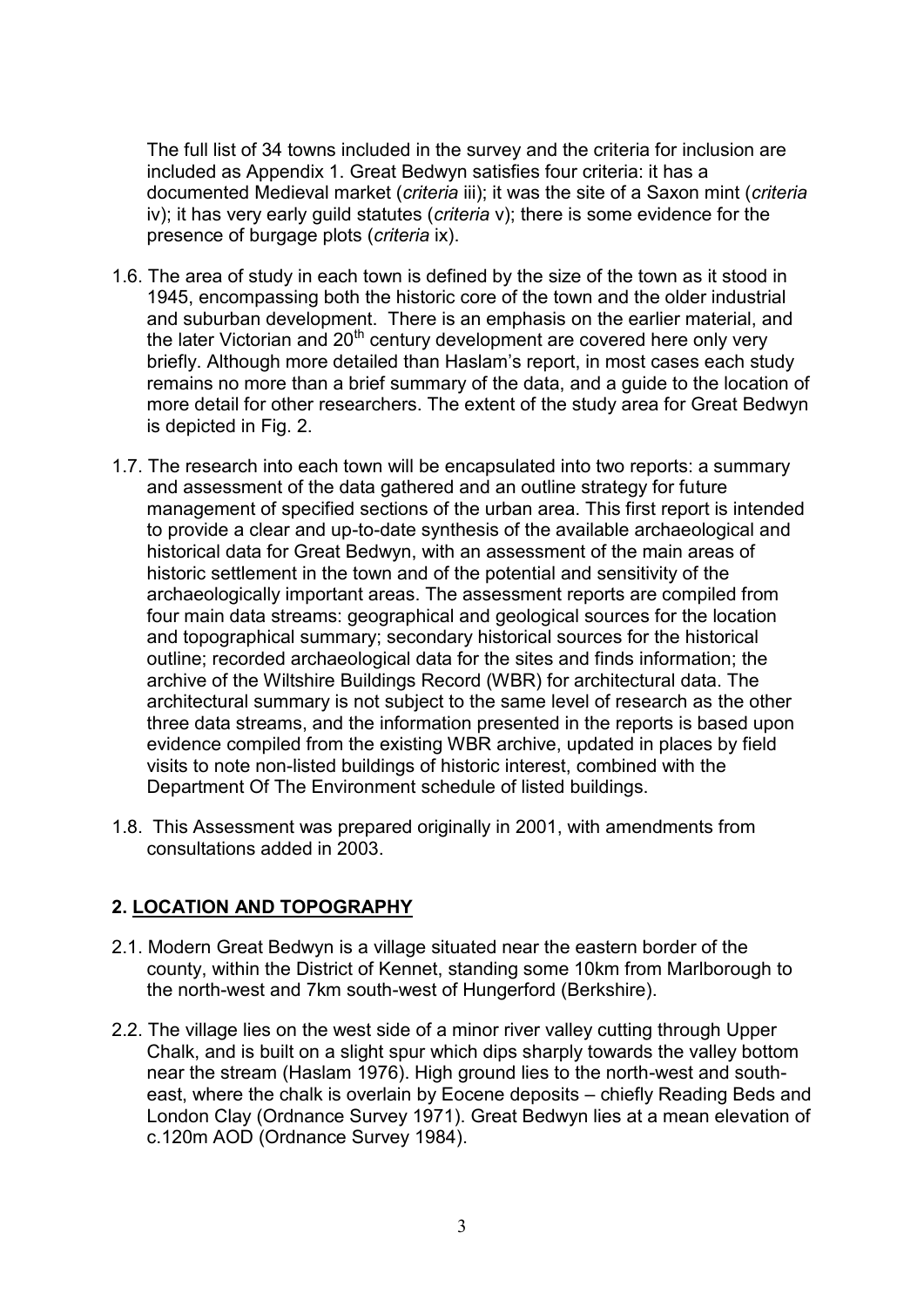The full list of 34 towns included in the survey and the criteria for inclusion are included as Appendix 1. Great Bedwyn satisfies four criteria: it has a documented Medieval market (*criteria* iii); it was the site of a Saxon mint (*criteria* iv); it has very early guild statutes (*criteria* v); there is some evidence for the presence of burgage plots (*criteria* ix).

- 1.6. The area of study in each town is defined by the size of the town as it stood in 1945, encompassing both the historic core of the town and the older industrial and suburban development. There is an emphasis on the earlier material, and the later Victorian and 20<sup>th</sup> century development are covered here only very briefly. Although more detailed than Haslam's report, in most cases each study remains no more than a brief summary of the data, and a guide to the location of more detail for other researchers. The extent of the study area for Great Bedwyn is depicted in Fig. 2.
- 1.7. The research into each town will be encapsulated into two reports: a summary and assessment of the data gathered and an outline strategy for future management of specified sections of the urban area. This first report is intended to provide a clear and up-to-date synthesis of the available archaeological and historical data for Great Bedwyn, with an assessment of the main areas of historic settlement in the town and of the potential and sensitivity of the archaeologically important areas. The assessment reports are compiled from four main data streams: geographical and geological sources for the location and topographical summary; secondary historical sources for the historical outline; recorded archaeological data for the sites and finds information; the archive of the Wiltshire Buildings Record (WBR) for architectural data. The architectural summary is not subject to the same level of research as the other three data streams, and the information presented in the reports is based upon evidence compiled from the existing WBR archive, updated in places by field visits to note non-listed buildings of historic interest, combined with the Department Of The Environment schedule of listed buildings.
- 1.8. This Assessment was prepared originally in 2001, with amendments from consultations added in 2003.

## **2. LOCATION AND TOPOGRAPHY**

- 2.1. Modern Great Bedwyn is a village situated near the eastern border of the county, within the District of Kennet, standing some 10km from Marlborough to the north-west and 7km south-west of Hungerford (Berkshire).
- 2.2. The village lies on the west side of a minor river valley cutting through Upper Chalk, and is built on a slight spur which dips sharply towards the valley bottom near the stream (Haslam 1976). High ground lies to the north-west and southeast, where the chalk is overlain by Eocene deposits – chiefly Reading Beds and London Clay (Ordnance Survey 1971). Great Bedwyn lies at a mean elevation of c.120m AOD (Ordnance Survey 1984).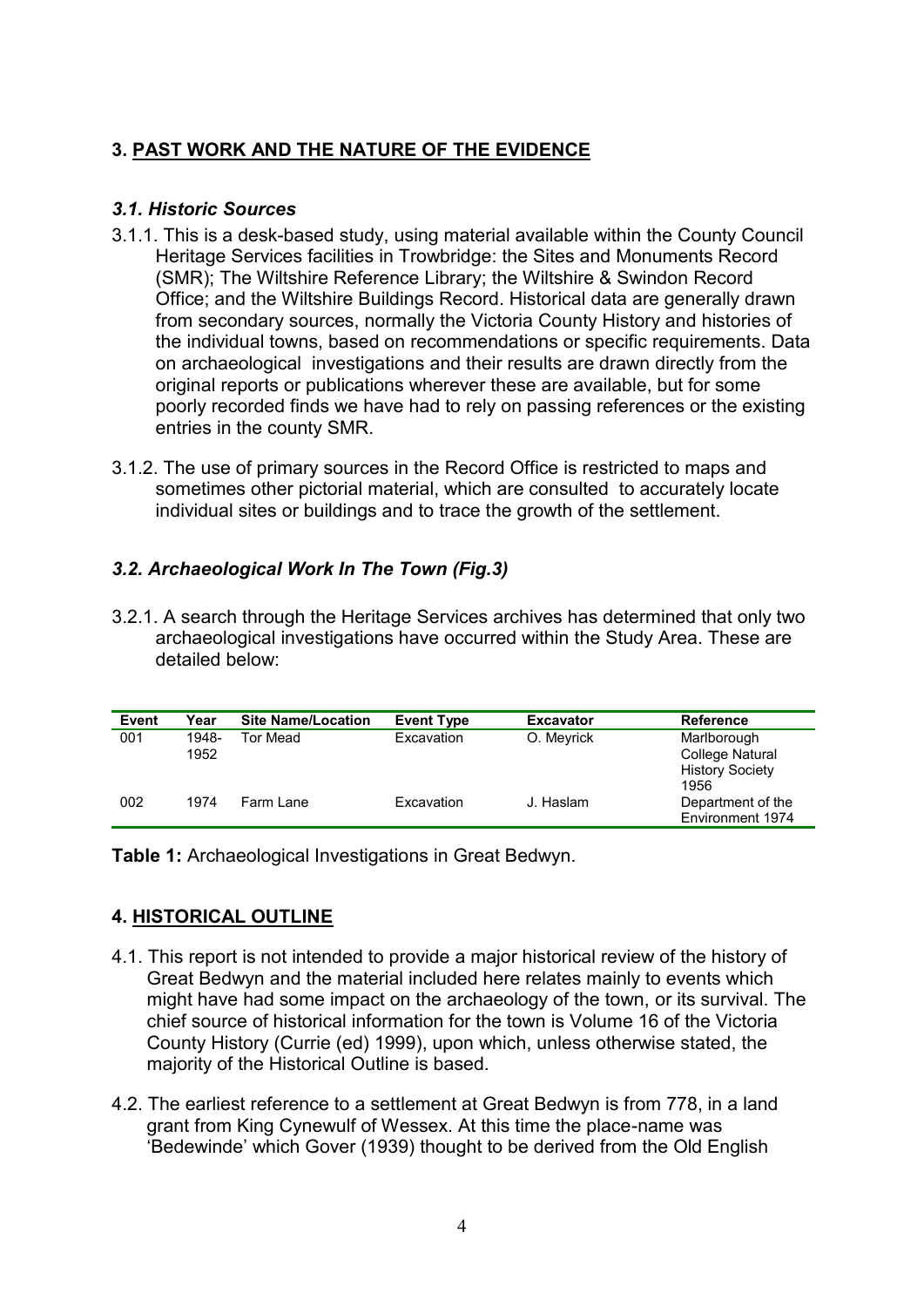## **3. PAST WORK AND THE NATURE OF THE EVIDENCE**

## *3.1. Historic Sources*

- 3.1.1. This is a desk-based study, using material available within the County Council Heritage Services facilities in Trowbridge: the Sites and Monuments Record (SMR); The Wiltshire Reference Library; the Wiltshire & Swindon Record Office; and the Wiltshire Buildings Record. Historical data are generally drawn from secondary sources, normally the Victoria County History and histories of the individual towns, based on recommendations or specific requirements. Data on archaeological investigations and their results are drawn directly from the original reports or publications wherever these are available, but for some poorly recorded finds we have had to rely on passing references or the existing entries in the county SMR.
- 3.1.2. The use of primary sources in the Record Office is restricted to maps and sometimes other pictorial material, which are consulted to accurately locate individual sites or buildings and to trace the growth of the settlement.

## *3.2. Archaeological Work In The Town (Fig.3)*

3.2.1. A search through the Heritage Services archives has determined that only two archaeological investigations have occurred within the Study Area. These are detailed below:

| Event | Year  | <b>Site Name/Location</b> | <b>Event Type</b> | <b>Excavator</b> | <b>Reference</b>       |
|-------|-------|---------------------------|-------------------|------------------|------------------------|
| 001   | 1948- | Tor Mead                  | Excavation        | O. Meyrick       | Marlborough            |
|       | 1952  |                           |                   |                  | College Natural        |
|       |       |                           |                   |                  | <b>History Society</b> |
|       |       |                           |                   |                  | 1956                   |
| 002   | 1974  | Farm Lane                 | Excavation        | J. Haslam        | Department of the      |
|       |       |                           |                   |                  | Environment 1974       |

**Table 1:** Archaeological Investigations in Great Bedwyn.

## **4. HISTORICAL OUTLINE**

- 4.1. This report is not intended to provide a major historical review of the history of Great Bedwyn and the material included here relates mainly to events which might have had some impact on the archaeology of the town, or its survival. The chief source of historical information for the town is Volume 16 of the Victoria County History (Currie (ed) 1999), upon which, unless otherwise stated, the majority of the Historical Outline is based.
- 4.2. The earliest reference to a settlement at Great Bedwyn is from 778, in a land grant from King Cynewulf of Wessex. At this time the place-name was 'Bedewinde' which Gover (1939) thought to be derived from the Old English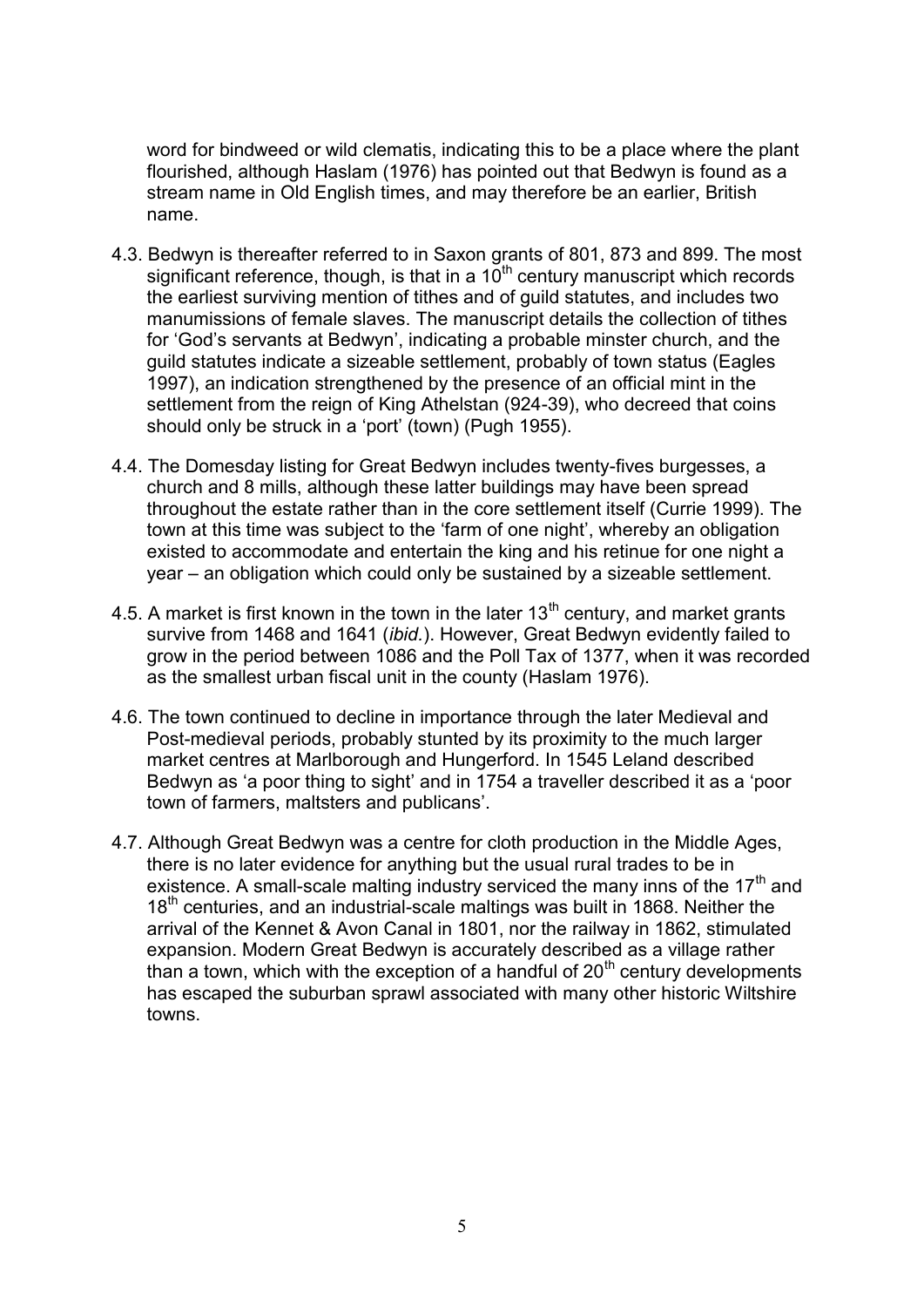word for bindweed or wild clematis, indicating this to be a place where the plant flourished, although Haslam (1976) has pointed out that Bedwyn is found as a stream name in Old English times, and may therefore be an earlier, British name.

- 4.3. Bedwyn is thereafter referred to in Saxon grants of 801, 873 and 899. The most significant reference, though, is that in a 10<sup>th</sup> century manuscript which records the earliest surviving mention of tithes and of guild statutes, and includes two manumissions of female slaves. The manuscript details the collection of tithes for 'God's servants at Bedwyn', indicating a probable minster church, and the guild statutes indicate a sizeable settlement, probably of town status (Eagles 1997), an indication strengthened by the presence of an official mint in the settlement from the reign of King Athelstan (924-39), who decreed that coins should only be struck in a 'port' (town) (Pugh 1955).
- 4.4. The Domesday listing for Great Bedwyn includes twenty-fives burgesses, a church and 8 mills, although these latter buildings may have been spread throughout the estate rather than in the core settlement itself (Currie 1999). The town at this time was subject to the 'farm of one night', whereby an obligation existed to accommodate and entertain the king and his retinue for one night a year – an obligation which could only be sustained by a sizeable settlement.
- 4.5. A market is first known in the town in the later  $13<sup>th</sup>$  century, and market grants survive from 1468 and 1641 (*ibid.*). However, Great Bedwyn evidently failed to grow in the period between 1086 and the Poll Tax of 1377, when it was recorded as the smallest urban fiscal unit in the county (Haslam 1976).
- 4.6. The town continued to decline in importance through the later Medieval and Post-medieval periods, probably stunted by its proximity to the much larger market centres at Marlborough and Hungerford. In 1545 Leland described Bedwyn as 'a poor thing to sight' and in 1754 a traveller described it as a 'poor town of farmers, maltsters and publicans'.
- 4.7. Although Great Bedwyn was a centre for cloth production in the Middle Ages, there is no later evidence for anything but the usual rural trades to be in existence. A small-scale malting industry serviced the many inns of the  $17<sup>th</sup>$  and 18<sup>th</sup> centuries, and an industrial-scale maltings was built in 1868. Neither the arrival of the Kennet & Avon Canal in 1801, nor the railway in 1862, stimulated expansion. Modern Great Bedwyn is accurately described as a village rather than a town, which with the exception of a handful of  $20<sup>th</sup>$  century developments has escaped the suburban sprawl associated with many other historic Wiltshire towns.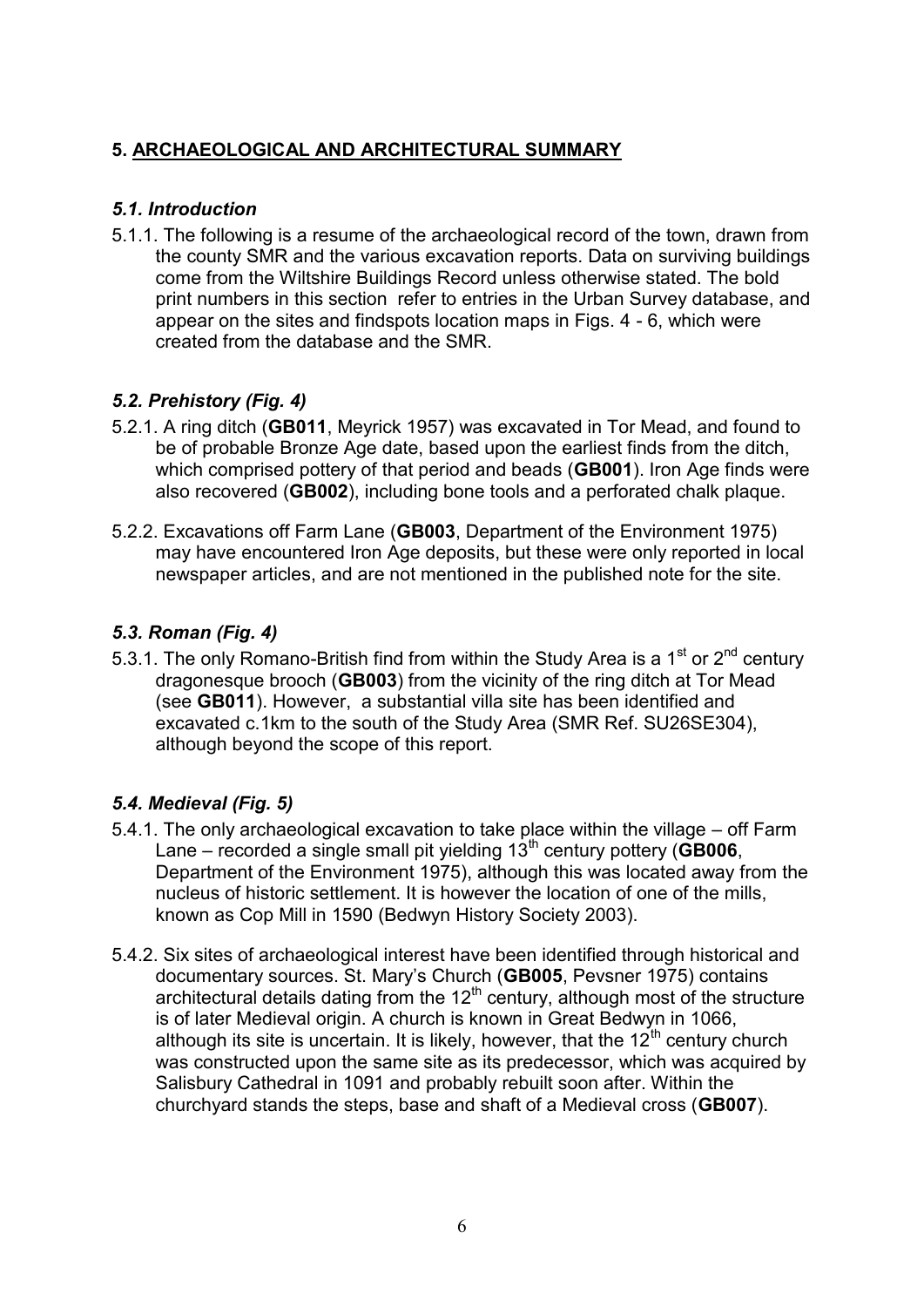## **5. ARCHAEOLOGICAL AND ARCHITECTURAL SUMMARY**

## *5.1. Introduction*

5.1.1. The following is a resume of the archaeological record of the town, drawn from the county SMR and the various excavation reports. Data on surviving buildings come from the Wiltshire Buildings Record unless otherwise stated. The bold print numbers in this section refer to entries in the Urban Survey database, and appear on the sites and findspots location maps in Figs. 4 - 6, which were created from the database and the SMR.

## *5.2. Prehistory (Fig. 4)*

- 5.2.1. A ring ditch (**GB011**, Meyrick 1957) was excavated in Tor Mead, and found to be of probable Bronze Age date, based upon the earliest finds from the ditch, which comprised pottery of that period and beads (**GB001**). Iron Age finds were also recovered (**GB002**), including bone tools and a perforated chalk plaque.
- 5.2.2. Excavations off Farm Lane (**GB003**, Department of the Environment 1975) may have encountered Iron Age deposits, but these were only reported in local newspaper articles, and are not mentioned in the published note for the site.

## *5.3. Roman (Fig. 4)*

5.3.1. The only Romano-British find from within the Study Area is a 1<sup>st</sup> or  $2^{nd}$  century dragonesque brooch (**GB003**) from the vicinity of the ring ditch at Tor Mead (see **GB011**). However, a substantial villa site has been identified and excavated c.1km to the south of the Study Area (SMR Ref. SU26SE304), although beyond the scope of this report.

## *5.4. Medieval (Fig. 5)*

- 5.4.1. The only archaeological excavation to take place within the village off Farm Lane – recorded a single small pit yielding 13th century pottery (**GB006**, Department of the Environment 1975), although this was located away from the nucleus of historic settlement. It is however the location of one of the mills, known as Cop Mill in 1590 (Bedwyn History Society 2003).
- 5.4.2. Six sites of archaeological interest have been identified through historical and documentary sources. St. Mary's Church (**GB005**, Pevsner 1975) contains architectural details dating from the  $12<sup>th</sup>$  century, although most of the structure is of later Medieval origin. A church is known in Great Bedwyn in 1066, although its site is uncertain. It is likely, however, that the  $12<sup>th</sup>$  century church was constructed upon the same site as its predecessor, which was acquired by Salisbury Cathedral in 1091 and probably rebuilt soon after. Within the churchyard stands the steps, base and shaft of a Medieval cross (**GB007**).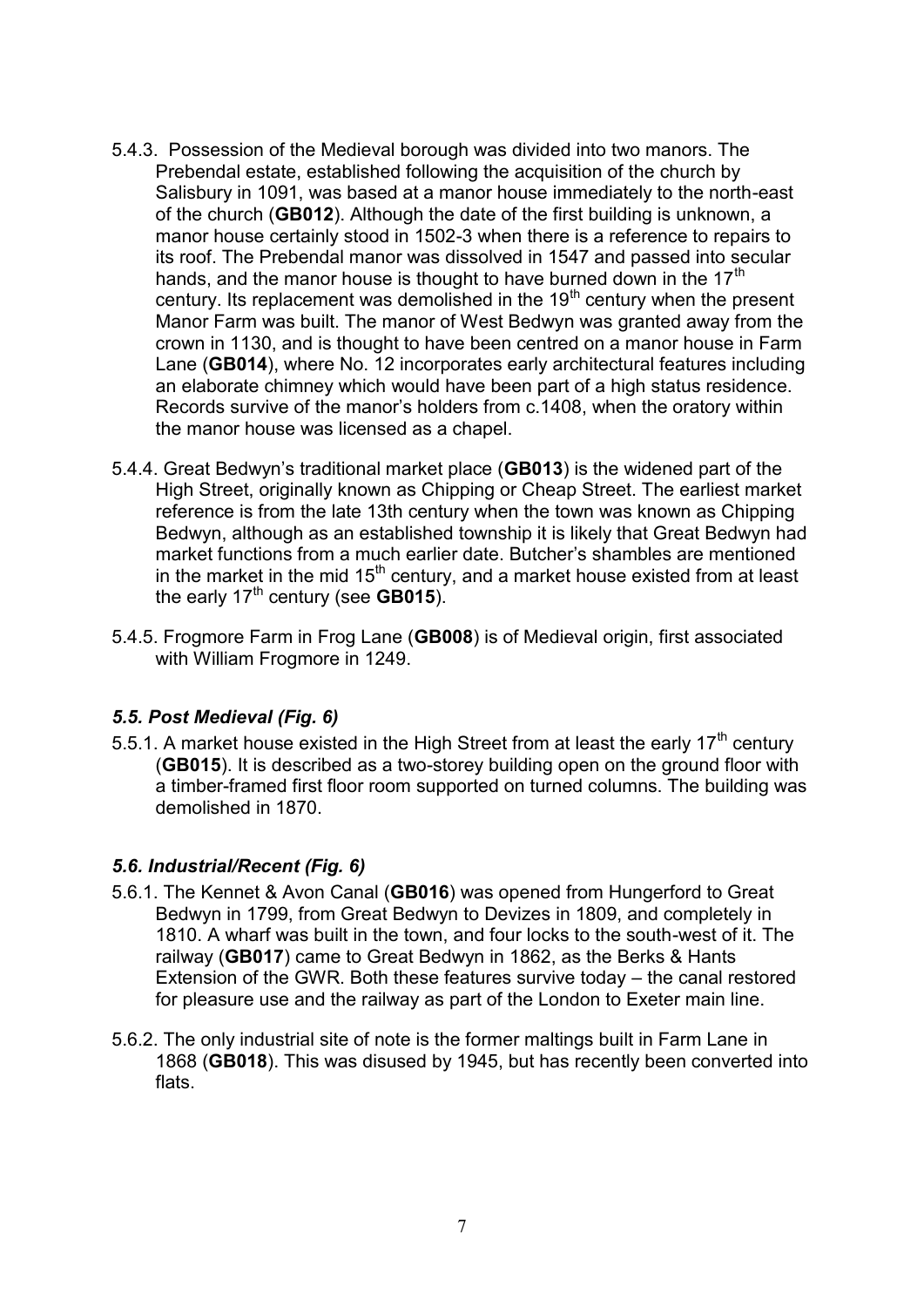- 5.4.3. Possession of the Medieval borough was divided into two manors. The Prebendal estate, established following the acquisition of the church by Salisbury in 1091, was based at a manor house immediately to the north-east of the church (**GB012**). Although the date of the first building is unknown, a manor house certainly stood in 1502-3 when there is a reference to repairs to its roof. The Prebendal manor was dissolved in 1547 and passed into secular hands, and the manor house is thought to have burned down in the  $17<sup>th</sup>$ century. Its replacement was demolished in the  $19<sup>th</sup>$  century when the present Manor Farm was built. The manor of West Bedwyn was granted away from the crown in 1130, and is thought to have been centred on a manor house in Farm Lane (**GB014**), where No. 12 incorporates early architectural features including an elaborate chimney which would have been part of a high status residence. Records survive of the manor's holders from c.1408, when the oratory within the manor house was licensed as a chapel.
- 5.4.4. Great Bedwyn's traditional market place (**GB013**) is the widened part of the High Street, originally known as Chipping or Cheap Street. The earliest market reference is from the late 13th century when the town was known as Chipping Bedwyn, although as an established township it is likely that Great Bedwyn had market functions from a much earlier date. Butcher's shambles are mentioned in the market in the mid  $15<sup>th</sup>$  century, and a market house existed from at least the early 17<sup>th</sup> century (see **GB015**).
- 5.4.5. Frogmore Farm in Frog Lane (**GB008**) is of Medieval origin, first associated with William Frogmore in 1249.

## *5.5. Post Medieval (Fig. 6)*

5.5.1. A market house existed in the High Street from at least the early  $17<sup>th</sup>$  century (**GB015**). It is described as a two-storey building open on the ground floor with a timber-framed first floor room supported on turned columns. The building was demolished in 1870.

## *5.6. Industrial/Recent (Fig. 6)*

- 5.6.1. The Kennet & Avon Canal (**GB016**) was opened from Hungerford to Great Bedwyn in 1799, from Great Bedwyn to Devizes in 1809, and completely in 1810. A wharf was built in the town, and four locks to the south-west of it. The railway (**GB017**) came to Great Bedwyn in 1862, as the Berks & Hants Extension of the GWR. Both these features survive today – the canal restored for pleasure use and the railway as part of the London to Exeter main line.
- 5.6.2. The only industrial site of note is the former maltings built in Farm Lane in 1868 (**GB018**). This was disused by 1945, but has recently been converted into flats.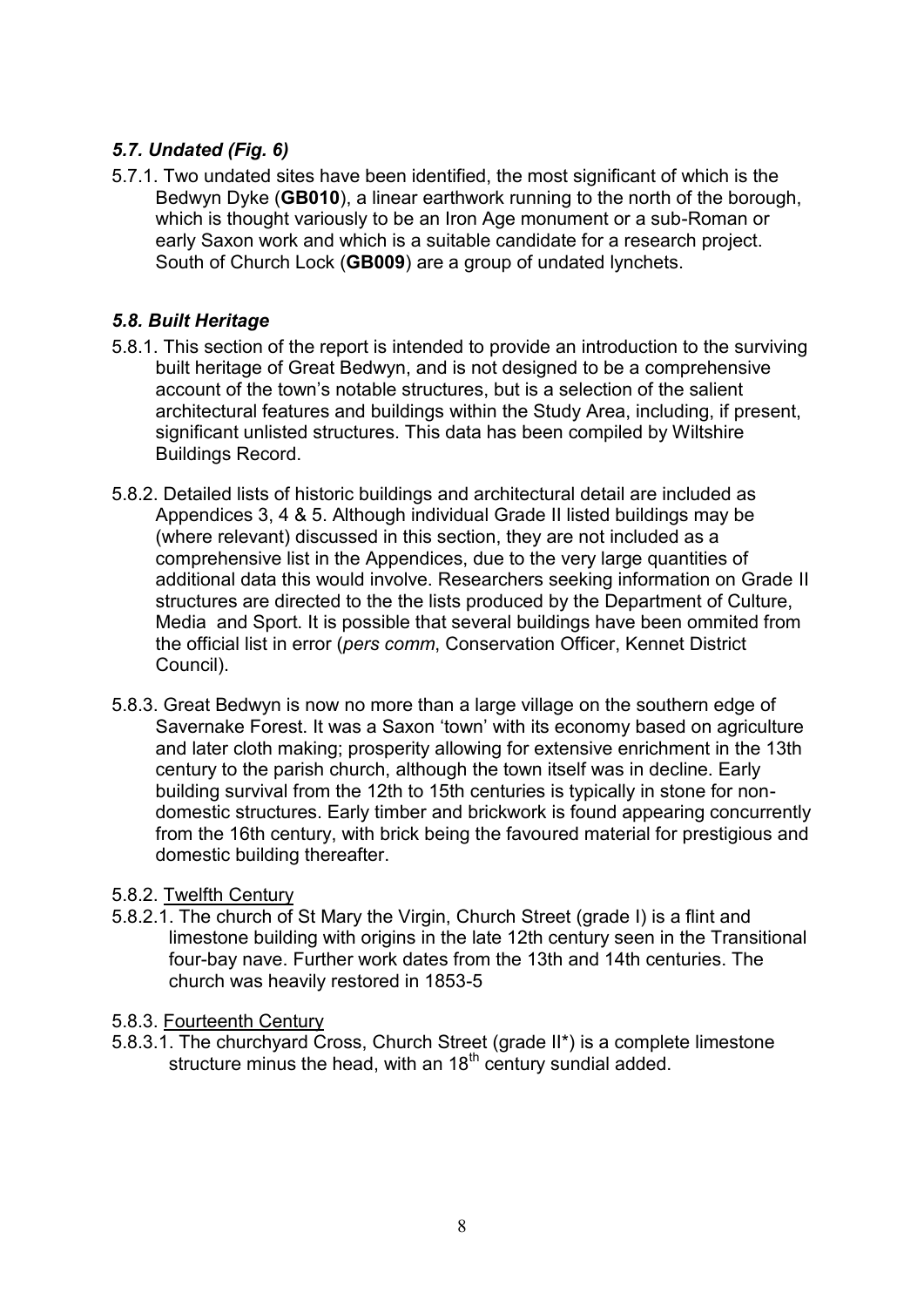## *5.7. Undated (Fig. 6)*

5.7.1. Two undated sites have been identified, the most significant of which is the Bedwyn Dyke (**GB010**), a linear earthwork running to the north of the borough, which is thought variously to be an Iron Age monument or a sub-Roman or early Saxon work and which is a suitable candidate for a research project. South of Church Lock (**GB009**) are a group of undated lynchets.

## *5.8. Built Heritage*

- 5.8.1. This section of the report is intended to provide an introduction to the surviving built heritage of Great Bedwyn, and is not designed to be a comprehensive account of the town's notable structures, but is a selection of the salient architectural features and buildings within the Study Area, including, if present, significant unlisted structures. This data has been compiled by Wiltshire Buildings Record.
- 5.8.2. Detailed lists of historic buildings and architectural detail are included as Appendices 3, 4 & 5. Although individual Grade II listed buildings may be (where relevant) discussed in this section, they are not included as a comprehensive list in the Appendices, due to the very large quantities of additional data this would involve. Researchers seeking information on Grade II structures are directed to the the lists produced by the Department of Culture, Media and Sport. It is possible that several buildings have been ommited from the official list in error (*pers comm*, Conservation Officer, Kennet District Council).
- 5.8.3. Great Bedwyn is now no more than a large village on the southern edge of Savernake Forest. It was a Saxon 'town' with its economy based on agriculture and later cloth making; prosperity allowing for extensive enrichment in the 13th century to the parish church, although the town itself was in decline. Early building survival from the 12th to 15th centuries is typically in stone for nondomestic structures. Early timber and brickwork is found appearing concurrently from the 16th century, with brick being the favoured material for prestigious and domestic building thereafter.

#### 5.8.2. Twelfth Century

5.8.2.1. The church of St Mary the Virgin, Church Street (grade I) is a flint and limestone building with origins in the late 12th century seen in the Transitional four-bay nave. Further work dates from the 13th and 14th centuries. The church was heavily restored in 1853-5

#### 5.8.3. Fourteenth Century

5.8.3.1. The churchyard Cross, Church Street (grade II\*) is a complete limestone structure minus the head, with an  $18<sup>th</sup>$  century sundial added.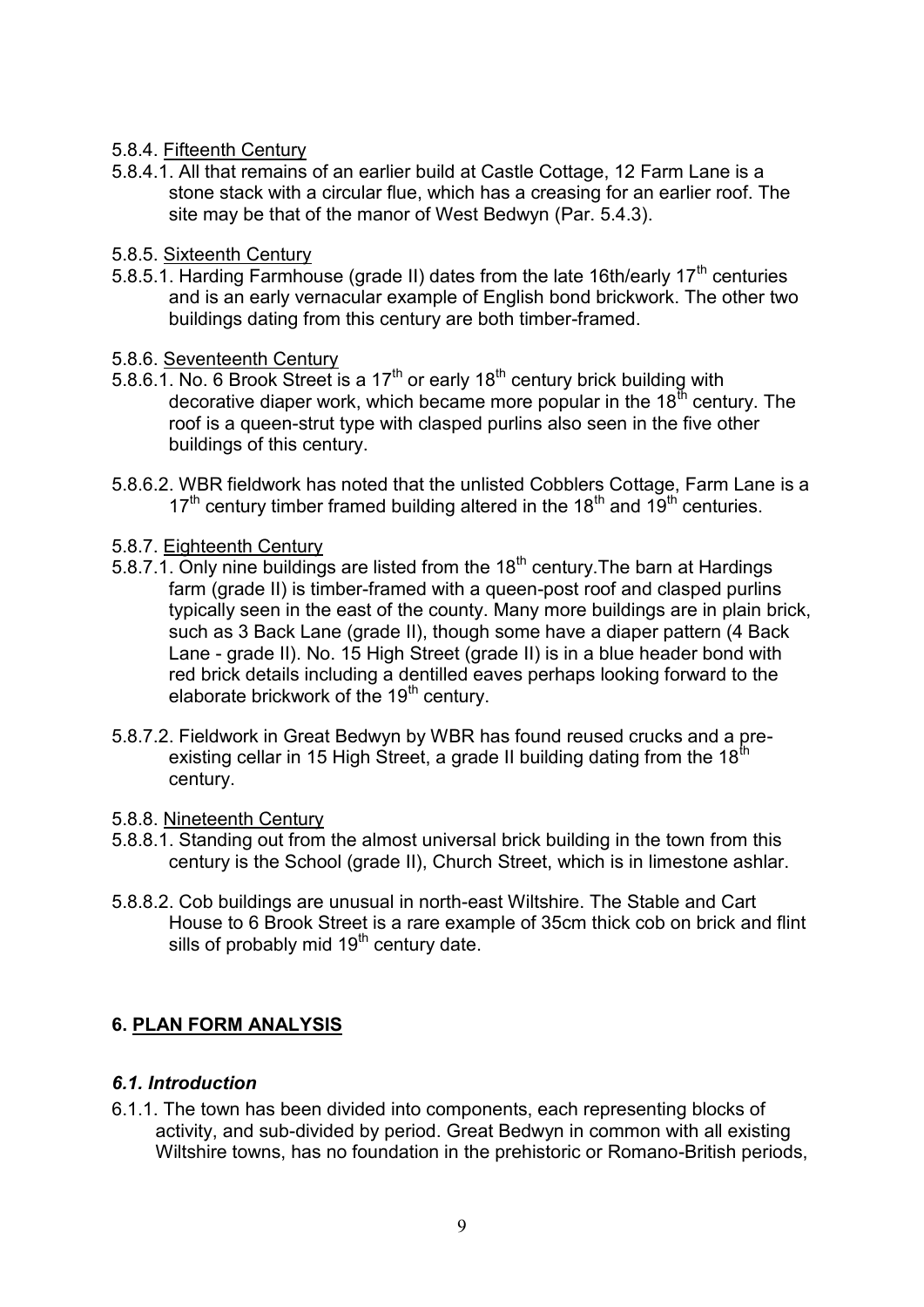- 5.8.4. Fifteenth Century
- 5.8.4.1. All that remains of an earlier build at Castle Cottage, 12 Farm Lane is a stone stack with a circular flue, which has a creasing for an earlier roof. The site may be that of the manor of West Bedwyn (Par. 5.4.3).
- 5.8.5. Sixteenth Century
- 5.8.5.1. Harding Farmhouse (grade II) dates from the late 16th/early 17<sup>th</sup> centuries and is an early vernacular example of English bond brickwork. The other two buildings dating from this century are both timber-framed.
- 5.8.6. Seventeenth Century
- 5.8.6.1. No. 6 Brook Street is a 17<sup>th</sup> or early 18<sup>th</sup> century brick building with decorative diaper work, which became more popular in the  $18<sup>th</sup>$  century. The roof is a queen-strut type with clasped purlins also seen in the five other buildings of this century.
- 5.8.6.2. WBR fieldwork has noted that the unlisted Cobblers Cottage, Farm Lane is a  $17<sup>th</sup>$  century timber framed building altered in the  $18<sup>th</sup>$  and  $19<sup>th</sup>$  centuries.
- 5.8.7. Eighteenth Century
- 5.8.7.1. Only nine buildings are listed from the  $18<sup>th</sup>$  century. The barn at Hardings farm (grade II) is timber-framed with a queen-post roof and clasped purlins typically seen in the east of the county. Many more buildings are in plain brick, such as 3 Back Lane (grade II), though some have a diaper pattern (4 Back Lane - grade II). No. 15 High Street (grade II) is in a blue header bond with red brick details including a dentilled eaves perhaps looking forward to the elaborate brickwork of the  $19<sup>th</sup>$  century.
- 5.8.7.2. Fieldwork in Great Bedwyn by WBR has found reused crucks and a preexisting cellar in 15 High Street, a grade II building dating from the 18<sup>th</sup> century.
- 5.8.8. Nineteenth Century
- 5.8.8.1. Standing out from the almost universal brick building in the town from this century is the School (grade II), Church Street, which is in limestone ashlar.
- 5.8.8.2. Cob buildings are unusual in north-east Wiltshire. The Stable and Cart House to 6 Brook Street is a rare example of 35cm thick cob on brick and flint sills of probably mid  $19<sup>th</sup>$  century date.

## **6. PLAN FORM ANALYSIS**

## *6.1. Introduction*

6.1.1. The town has been divided into components, each representing blocks of activity, and sub-divided by period. Great Bedwyn in common with all existing Wiltshire towns, has no foundation in the prehistoric or Romano-British periods,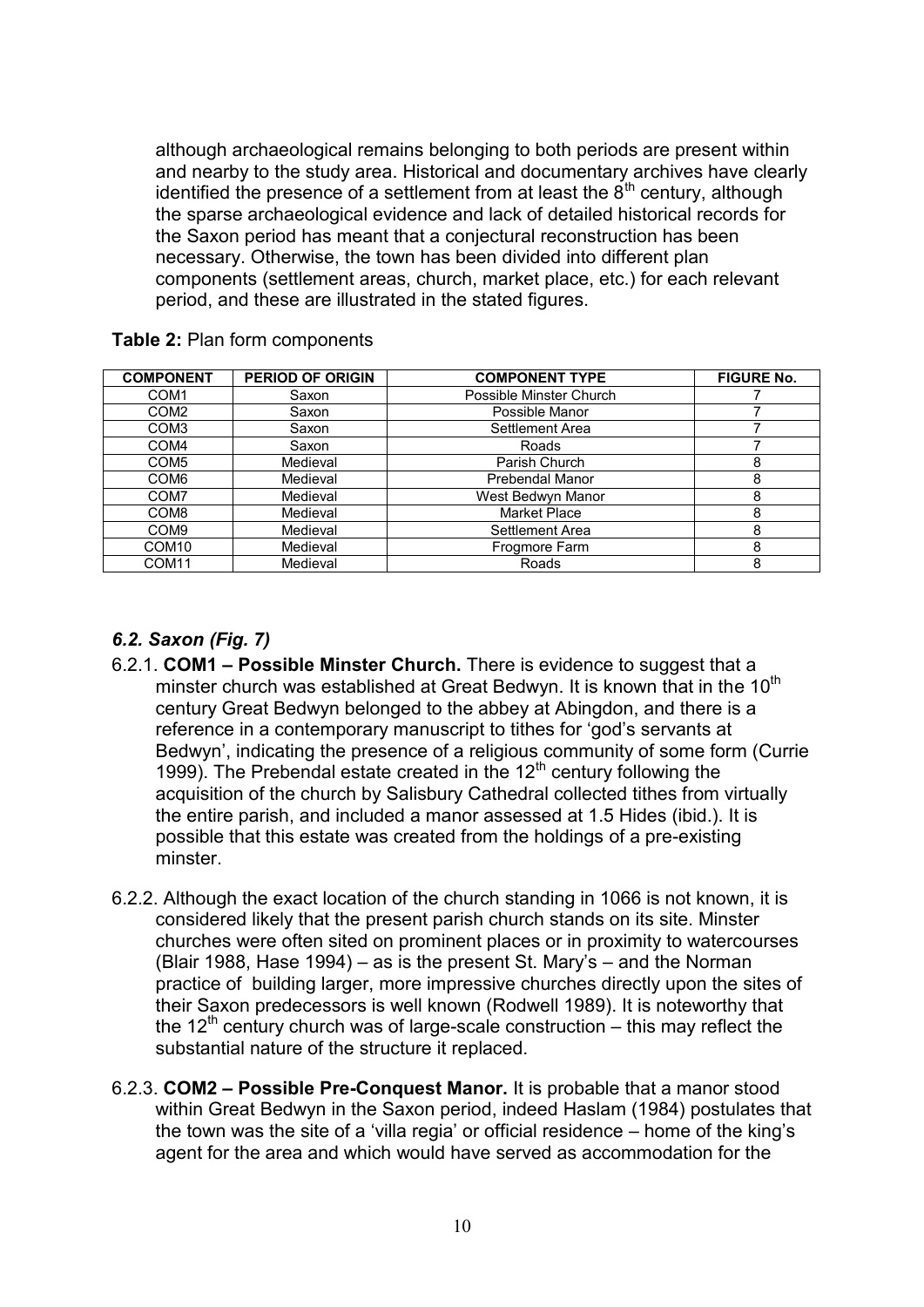although archaeological remains belonging to both periods are present within and nearby to the study area. Historical and documentary archives have clearly identified the presence of a settlement from at least the  $8<sup>th</sup>$  century, although the sparse archaeological evidence and lack of detailed historical records for the Saxon period has meant that a conjectural reconstruction has been necessary. Otherwise, the town has been divided into different plan components (settlement areas, church, market place, etc.) for each relevant period, and these are illustrated in the stated figures.

| <b>COMPONENT</b>  | <b>PERIOD OF ORIGIN</b> | <b>COMPONENT TYPE</b>   | <b>FIGURE No.</b> |
|-------------------|-------------------------|-------------------------|-------------------|
| COM <sub>1</sub>  | Saxon                   | Possible Minster Church |                   |
| COM <sub>2</sub>  | Saxon                   | Possible Manor          |                   |
| COM <sub>3</sub>  | Saxon                   | Settlement Area         |                   |
| COM <sub>4</sub>  | Saxon                   | Roads                   |                   |
| COM <sub>5</sub>  | Medieval                | Parish Church           | 8                 |
| COM <sub>6</sub>  | Medieval                | Prebendal Manor         | 8                 |
| COM <sub>7</sub>  | Medieval                | West Bedwyn Manor       | 8                 |
| COM <sub>8</sub>  | Medieval                | <b>Market Place</b>     | 8                 |
| COM <sub>9</sub>  | Medieval                | Settlement Area         | 8                 |
| COM <sub>10</sub> | Medieval                | Frogmore Farm           | 8                 |
| COM <sub>11</sub> | Medieval                | Roads                   | 8                 |

**Table 2:** Plan form components

## *6.2. Saxon (Fig. 7)*

- 6.2.1. **COM1 – Possible Minster Church.** There is evidence to suggest that a minster church was established at Great Bedwyn. It is known that in the  $10^{th}$ century Great Bedwyn belonged to the abbey at Abingdon, and there is a reference in a contemporary manuscript to tithes for 'god's servants at Bedwyn', indicating the presence of a religious community of some form (Currie 1999). The Prebendal estate created in the  $12<sup>th</sup>$  century following the acquisition of the church by Salisbury Cathedral collected tithes from virtually the entire parish, and included a manor assessed at 1.5 Hides (ibid.). It is possible that this estate was created from the holdings of a pre-existing minster.
- 6.2.2. Although the exact location of the church standing in 1066 is not known, it is considered likely that the present parish church stands on its site. Minster churches were often sited on prominent places or in proximity to watercourses (Blair 1988, Hase 1994) – as is the present St. Mary's – and the Norman practice of building larger, more impressive churches directly upon the sites of their Saxon predecessors is well known (Rodwell 1989). It is noteworthy that the  $12<sup>th</sup>$  century church was of large-scale construction – this may reflect the substantial nature of the structure it replaced.
- 6.2.3. **COM2 – Possible Pre-Conquest Manor.** It is probable that a manor stood within Great Bedwyn in the Saxon period, indeed Haslam (1984) postulates that the town was the site of a 'villa regia' or official residence – home of the king's agent for the area and which would have served as accommodation for the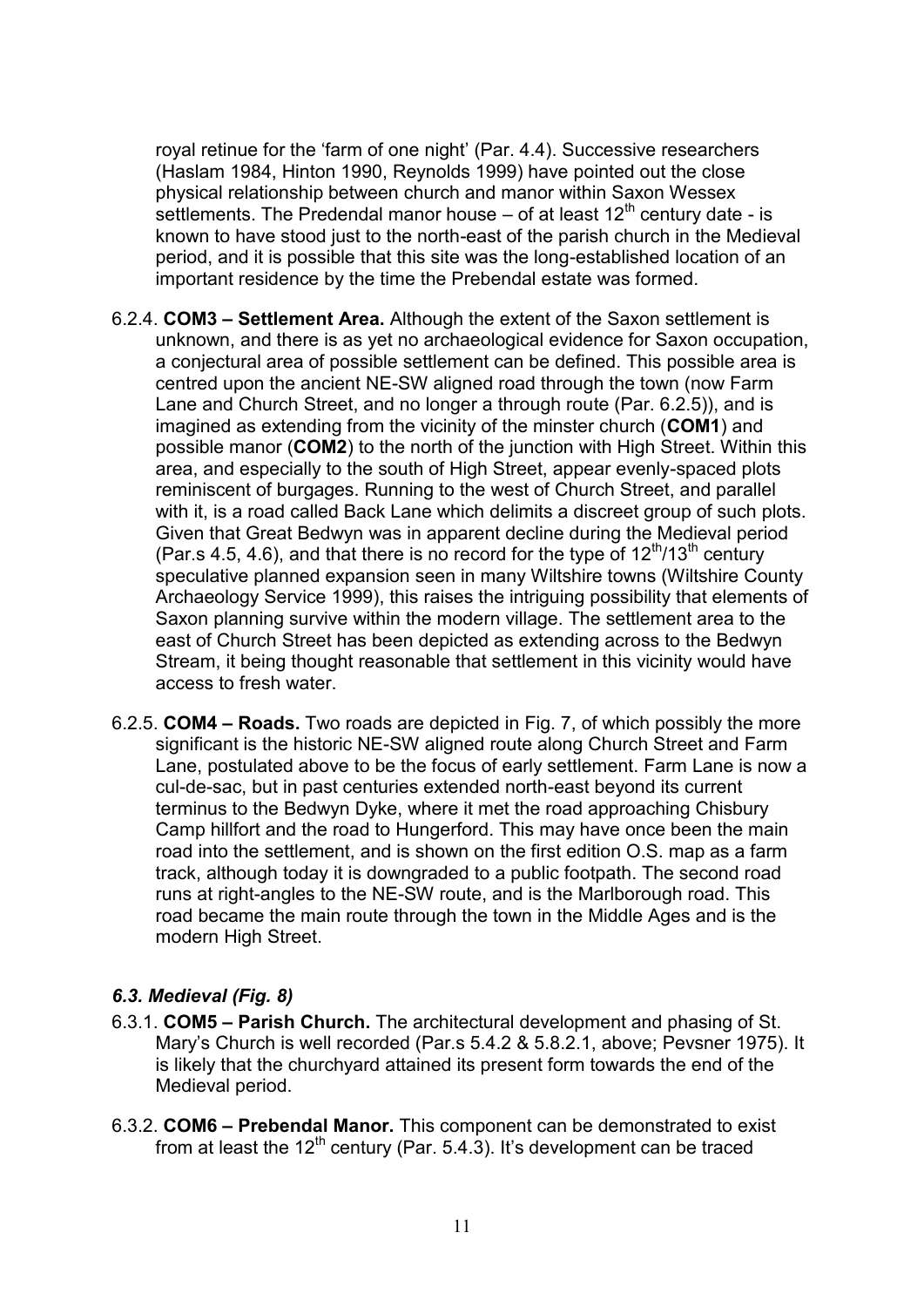royal retinue for the 'farm of one night' (Par. 4.4). Successive researchers (Haslam 1984, Hinton 1990, Reynolds 1999) have pointed out the close physical relationship between church and manor within Saxon Wessex settlements. The Predendal manor house  $-$  of at least 12<sup>th</sup> century date - is known to have stood just to the north-east of the parish church in the Medieval period, and it is possible that this site was the long-established location of an important residence by the time the Prebendal estate was formed.

- 6.2.4. **COM3 – Settlement Area.** Although the extent of the Saxon settlement is unknown, and there is as yet no archaeological evidence for Saxon occupation, a conjectural area of possible settlement can be defined. This possible area is centred upon the ancient NE-SW aligned road through the town (now Farm Lane and Church Street, and no longer a through route (Par. 6.2.5)), and is imagined as extending from the vicinity of the minster church (**COM1**) and possible manor (**COM2**) to the north of the junction with High Street. Within this area, and especially to the south of High Street, appear evenly-spaced plots reminiscent of burgages. Running to the west of Church Street, and parallel with it, is a road called Back Lane which delimits a discreet group of such plots. Given that Great Bedwyn was in apparent decline during the Medieval period (Par.s 4.5, 4.6), and that there is no record for the type of  $12^{th}/13^{th}$  century speculative planned expansion seen in many Wiltshire towns (Wiltshire County Archaeology Service 1999), this raises the intriguing possibility that elements of Saxon planning survive within the modern village. The settlement area to the east of Church Street has been depicted as extending across to the Bedwyn Stream, it being thought reasonable that settlement in this vicinity would have access to fresh water.
- 6.2.5. **COM4 – Roads.** Two roads are depicted in Fig. 7, of which possibly the more significant is the historic NE-SW aligned route along Church Street and Farm Lane, postulated above to be the focus of early settlement. Farm Lane is now a cul-de-sac, but in past centuries extended north-east beyond its current terminus to the Bedwyn Dyke, where it met the road approaching Chisbury Camp hillfort and the road to Hungerford. This may have once been the main road into the settlement, and is shown on the first edition O.S. map as a farm track, although today it is downgraded to a public footpath. The second road runs at right-angles to the NE-SW route, and is the Marlborough road. This road became the main route through the town in the Middle Ages and is the modern High Street.

#### *6.3. Medieval (Fig. 8)*

- 6.3.1. **COM5 – Parish Church.** The architectural development and phasing of St. Mary's Church is well recorded (Par.s 5.4.2 & 5.8.2.1, above; Pevsner 1975). It is likely that the churchyard attained its present form towards the end of the Medieval period.
- 6.3.2. **COM6 – Prebendal Manor.** This component can be demonstrated to exist from at least the  $12^{th}$  century (Par. 5.4.3). It's development can be traced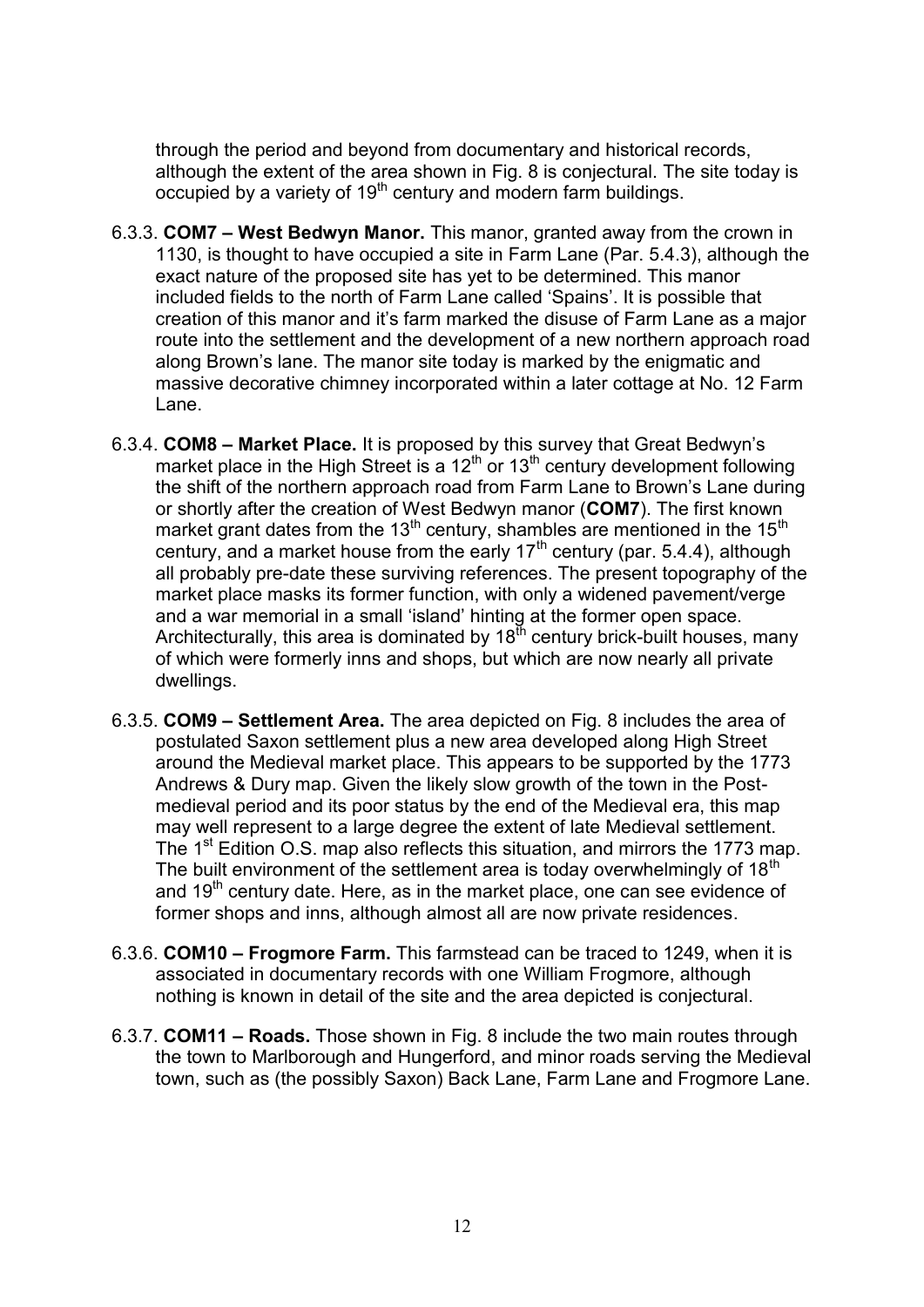through the period and beyond from documentary and historical records, although the extent of the area shown in Fig. 8 is conjectural. The site today is occupied by a variety of 19<sup>th</sup> century and modern farm buildings.

- 6.3.3. **COM7 – West Bedwyn Manor.** This manor, granted away from the crown in 1130, is thought to have occupied a site in Farm Lane (Par. 5.4.3), although the exact nature of the proposed site has yet to be determined. This manor included fields to the north of Farm Lane called 'Spains'. It is possible that creation of this manor and it's farm marked the disuse of Farm Lane as a major route into the settlement and the development of a new northern approach road along Brown's lane. The manor site today is marked by the enigmatic and massive decorative chimney incorporated within a later cottage at No. 12 Farm Lane.
- 6.3.4. **COM8 – Market Place.** It is proposed by this survey that Great Bedwyn's market place in the High Street is a  $12<sup>th</sup>$  or  $13<sup>th</sup>$  century development following the shift of the northern approach road from Farm Lane to Brown's Lane during or shortly after the creation of West Bedwyn manor (**COM7**). The first known market grant dates from the 13<sup>th</sup> century, shambles are mentioned in the 15<sup>th</sup> century, and a market house from the early  $17<sup>th</sup>$  century (par. 5.4.4), although all probably pre-date these surviving references. The present topography of the market place masks its former function, with only a widened pavement/verge and a war memorial in a small 'island' hinting at the former open space. Architecturally, this area is dominated by  $18<sup>th</sup>$  century brick-built houses, many of which were formerly inns and shops, but which are now nearly all private dwellings.
- 6.3.5. **COM9 – Settlement Area.** The area depicted on Fig. 8 includes the area of postulated Saxon settlement plus a new area developed along High Street around the Medieval market place. This appears to be supported by the 1773 Andrews & Dury map. Given the likely slow growth of the town in the Postmedieval period and its poor status by the end of the Medieval era, this map may well represent to a large degree the extent of late Medieval settlement. The 1<sup>st</sup> Edition O.S. map also reflects this situation, and mirrors the 1773 map. The built environment of the settlement area is today overwhelmingly of  $18<sup>th</sup>$ and  $19<sup>th</sup>$  century date. Here, as in the market place, one can see evidence of former shops and inns, although almost all are now private residences.
- 6.3.6. **COM10 – Frogmore Farm.** This farmstead can be traced to 1249, when it is associated in documentary records with one William Frogmore, although nothing is known in detail of the site and the area depicted is conjectural.
- 6.3.7. **COM11 – Roads.** Those shown in Fig. 8 include the two main routes through the town to Marlborough and Hungerford, and minor roads serving the Medieval town, such as (the possibly Saxon) Back Lane, Farm Lane and Frogmore Lane.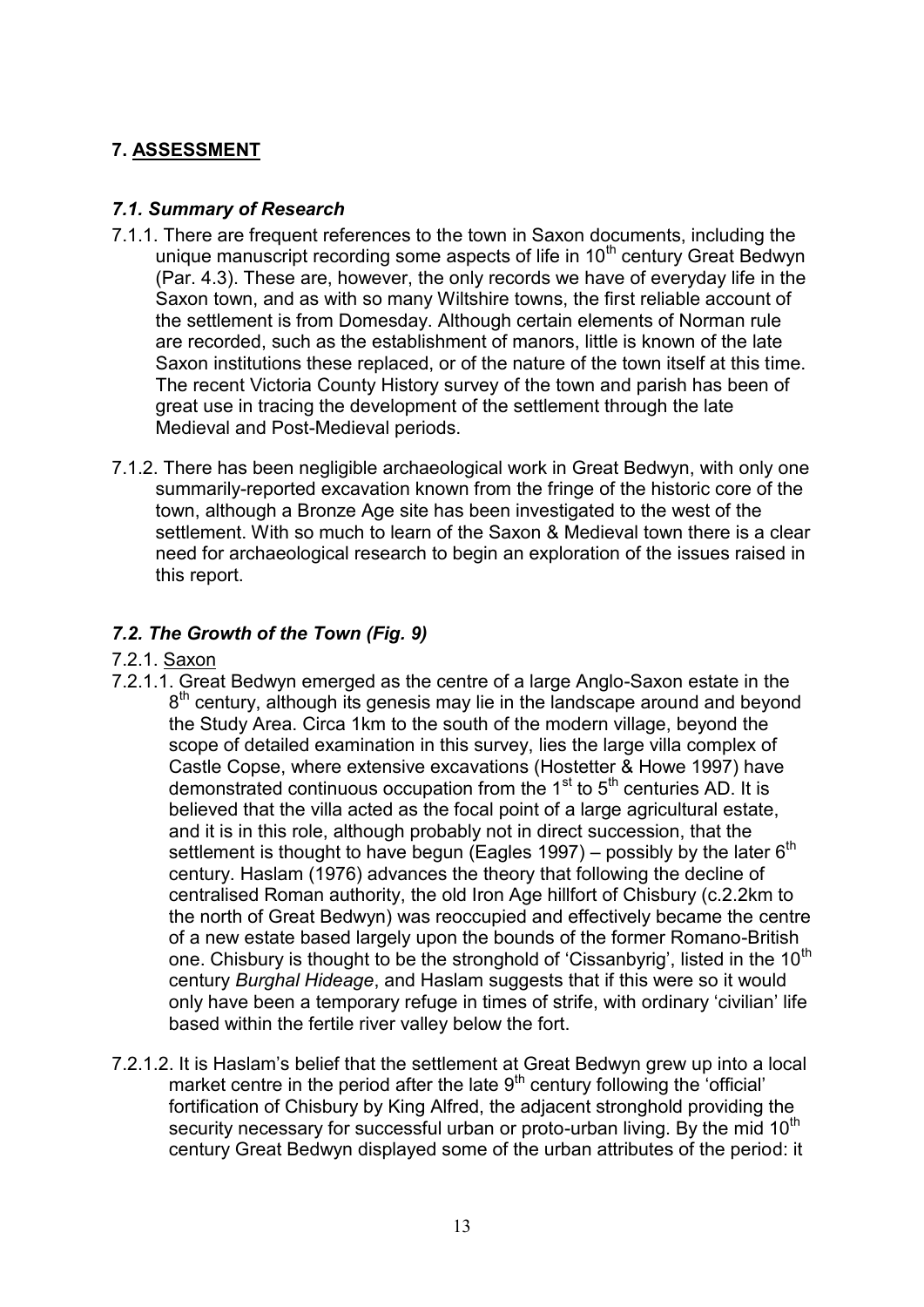## **7. ASSESSMENT**

## *7.1. Summary of Research*

- 7.1.1. There are frequent references to the town in Saxon documents, including the unique manuscript recording some aspects of life in 10<sup>th</sup> century Great Bedwyn (Par. 4.3). These are, however, the only records we have of everyday life in the Saxon town, and as with so many Wiltshire towns, the first reliable account of the settlement is from Domesday. Although certain elements of Norman rule are recorded, such as the establishment of manors, little is known of the late Saxon institutions these replaced, or of the nature of the town itself at this time. The recent Victoria County History survey of the town and parish has been of great use in tracing the development of the settlement through the late Medieval and Post-Medieval periods.
- 7.1.2. There has been negligible archaeological work in Great Bedwyn, with only one summarily-reported excavation known from the fringe of the historic core of the town, although a Bronze Age site has been investigated to the west of the settlement. With so much to learn of the Saxon & Medieval town there is a clear need for archaeological research to begin an exploration of the issues raised in this report.

## *7.2. The Growth of the Town (Fig. 9)*

- 7.2.1. Saxon
- 7.2.1.1. Great Bedwyn emerged as the centre of a large Anglo-Saxon estate in the 8<sup>th</sup> century, although its genesis may lie in the landscape around and beyond the Study Area. Circa 1km to the south of the modern village, beyond the scope of detailed examination in this survey, lies the large villa complex of Castle Copse, where extensive excavations (Hostetter & Howe 1997) have demonstrated continuous occupation from the  $1<sup>st</sup>$  to  $5<sup>th</sup>$  centuries AD. It is believed that the villa acted as the focal point of a large agricultural estate, and it is in this role, although probably not in direct succession, that the settlement is thought to have begun (Eagles 1997) – possibly by the later  $6<sup>th</sup>$ century. Haslam (1976) advances the theory that following the decline of centralised Roman authority, the old Iron Age hillfort of Chisbury (c.2.2km to the north of Great Bedwyn) was reoccupied and effectively became the centre of a new estate based largely upon the bounds of the former Romano-British one. Chisbury is thought to be the stronghold of 'Cissanbyrig', listed in the  $10<sup>th</sup>$ century *Burghal Hideage*, and Haslam suggests that if this were so it would only have been a temporary refuge in times of strife, with ordinary 'civilian' life based within the fertile river valley below the fort.
- 7.2.1.2. It is Haslam's belief that the settlement at Great Bedwyn grew up into a local market centre in the period after the late  $9<sup>th</sup>$  century following the 'official' fortification of Chisbury by King Alfred, the adjacent stronghold providing the security necessary for successful urban or proto-urban living. By the mid 10<sup>th</sup> century Great Bedwyn displayed some of the urban attributes of the period: it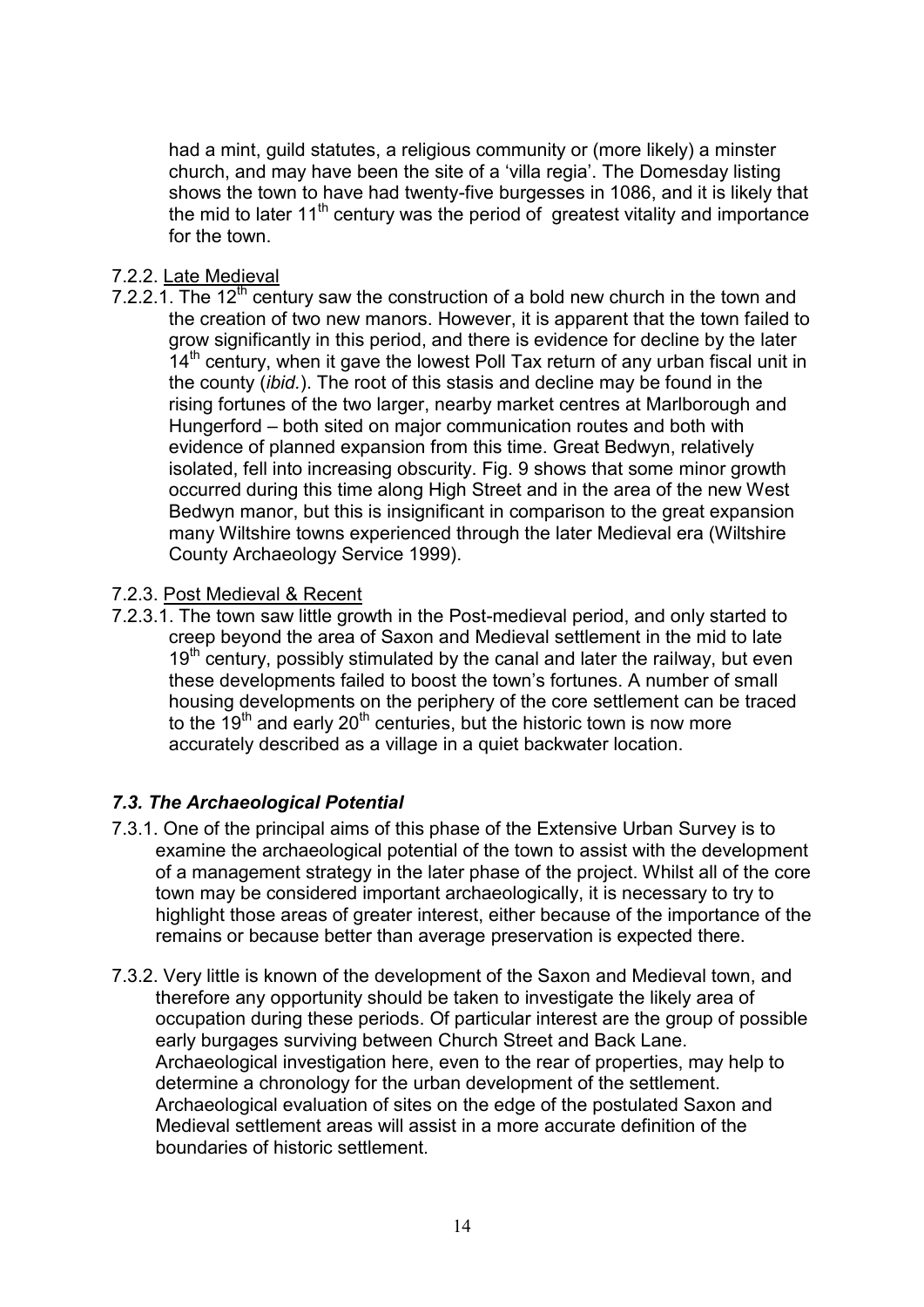had a mint, guild statutes, a religious community or (more likely) a minster church, and may have been the site of a 'villa regia'. The Domesday listing shows the town to have had twenty-five burgesses in 1086, and it is likely that the mid to later  $11<sup>th</sup>$  century was the period of greatest vitality and importance for the town.

#### 7.2.2. Late Medieval

- 7.2.2.1. The 12<sup>th</sup> century saw the construction of a bold new church in the town and the creation of two new manors. However, it is apparent that the town failed to grow significantly in this period, and there is evidence for decline by the later  $14<sup>th</sup>$  century, when it gave the lowest Poll Tax return of any urban fiscal unit in the county (*ibid.*). The root of this stasis and decline may be found in the rising fortunes of the two larger, nearby market centres at Marlborough and Hungerford – both sited on major communication routes and both with evidence of planned expansion from this time. Great Bedwyn, relatively isolated, fell into increasing obscurity. Fig. 9 shows that some minor growth occurred during this time along High Street and in the area of the new West Bedwyn manor, but this is insignificant in comparison to the great expansion many Wiltshire towns experienced through the later Medieval era (Wiltshire County Archaeology Service 1999).
- 7.2.3. Post Medieval & Recent
- 7.2.3.1. The town saw little growth in the Post-medieval period, and only started to creep beyond the area of Saxon and Medieval settlement in the mid to late  $19<sup>th</sup>$  century, possibly stimulated by the canal and later the railway, but even these developments failed to boost the town's fortunes. A number of small housing developments on the periphery of the core settlement can be traced to the  $19<sup>th</sup>$  and early 20<sup>th</sup> centuries, but the historic town is now more accurately described as a village in a quiet backwater location.

## *7.3. The Archaeological Potential*

- 7.3.1. One of the principal aims of this phase of the Extensive Urban Survey is to examine the archaeological potential of the town to assist with the development of a management strategy in the later phase of the project. Whilst all of the core town may be considered important archaeologically, it is necessary to try to highlight those areas of greater interest, either because of the importance of the remains or because better than average preservation is expected there.
- 7.3.2. Very little is known of the development of the Saxon and Medieval town, and therefore any opportunity should be taken to investigate the likely area of occupation during these periods. Of particular interest are the group of possible early burgages surviving between Church Street and Back Lane. Archaeological investigation here, even to the rear of properties, may help to determine a chronology for the urban development of the settlement. Archaeological evaluation of sites on the edge of the postulated Saxon and Medieval settlement areas will assist in a more accurate definition of the boundaries of historic settlement.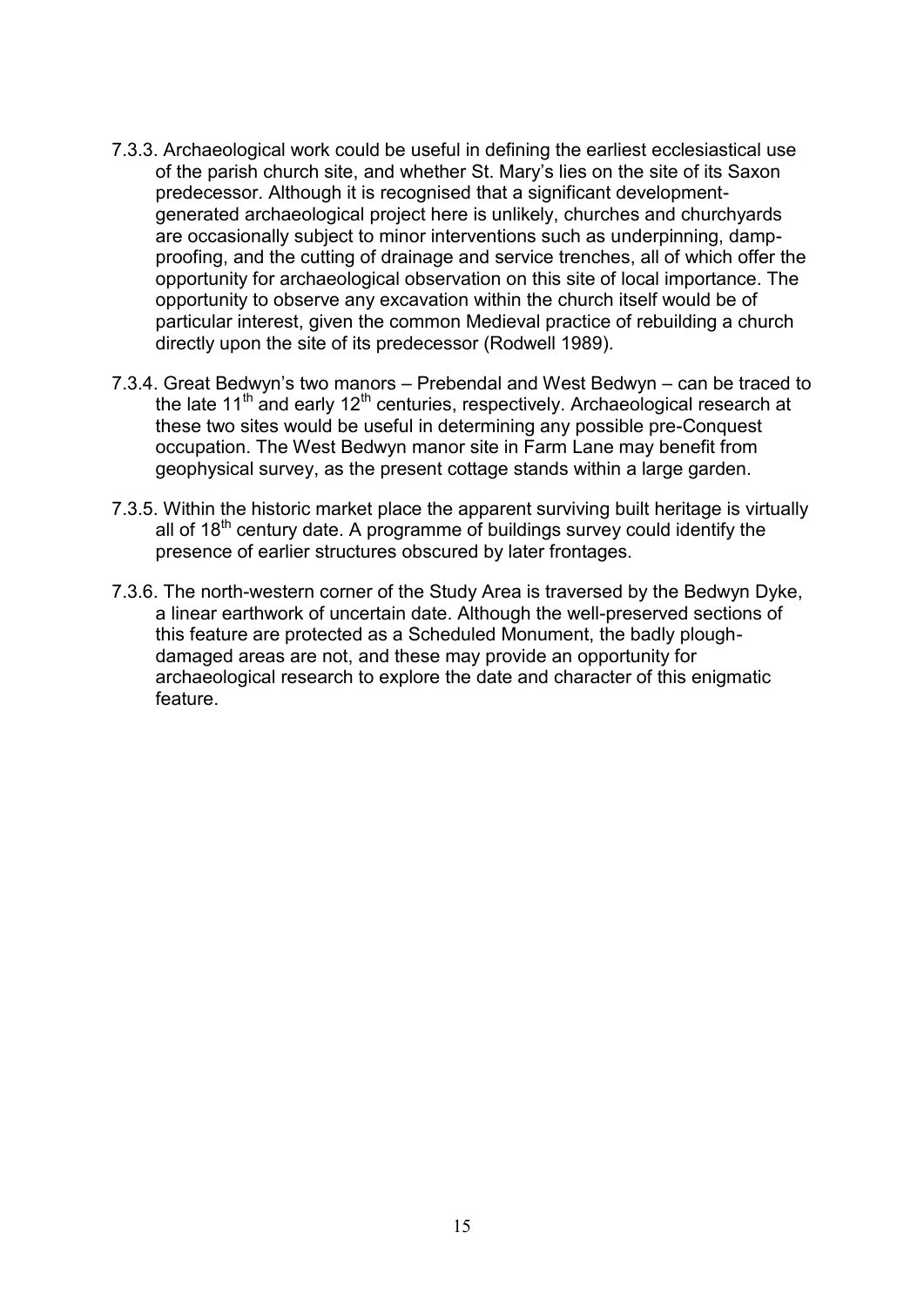- 7.3.3. Archaeological work could be useful in defining the earliest ecclesiastical use of the parish church site, and whether St. Mary's lies on the site of its Saxon predecessor. Although it is recognised that a significant developmentgenerated archaeological project here is unlikely, churches and churchyards are occasionally subject to minor interventions such as underpinning, dampproofing, and the cutting of drainage and service trenches, all of which offer the opportunity for archaeological observation on this site of local importance. The opportunity to observe any excavation within the church itself would be of particular interest, given the common Medieval practice of rebuilding a church directly upon the site of its predecessor (Rodwell 1989).
- 7.3.4. Great Bedwyn's two manors Prebendal and West Bedwyn can be traced to the late  $11<sup>th</sup>$  and early  $12<sup>th</sup>$  centuries, respectively. Archaeological research at these two sites would be useful in determining any possible pre-Conquest occupation. The West Bedwyn manor site in Farm Lane may benefit from geophysical survey, as the present cottage stands within a large garden.
- 7.3.5. Within the historic market place the apparent surviving built heritage is virtually all of  $18<sup>th</sup>$  century date. A programme of buildings survey could identify the presence of earlier structures obscured by later frontages.
- 7.3.6. The north-western corner of the Study Area is traversed by the Bedwyn Dyke, a linear earthwork of uncertain date. Although the well-preserved sections of this feature are protected as a Scheduled Monument, the badly ploughdamaged areas are not, and these may provide an opportunity for archaeological research to explore the date and character of this enigmatic feature.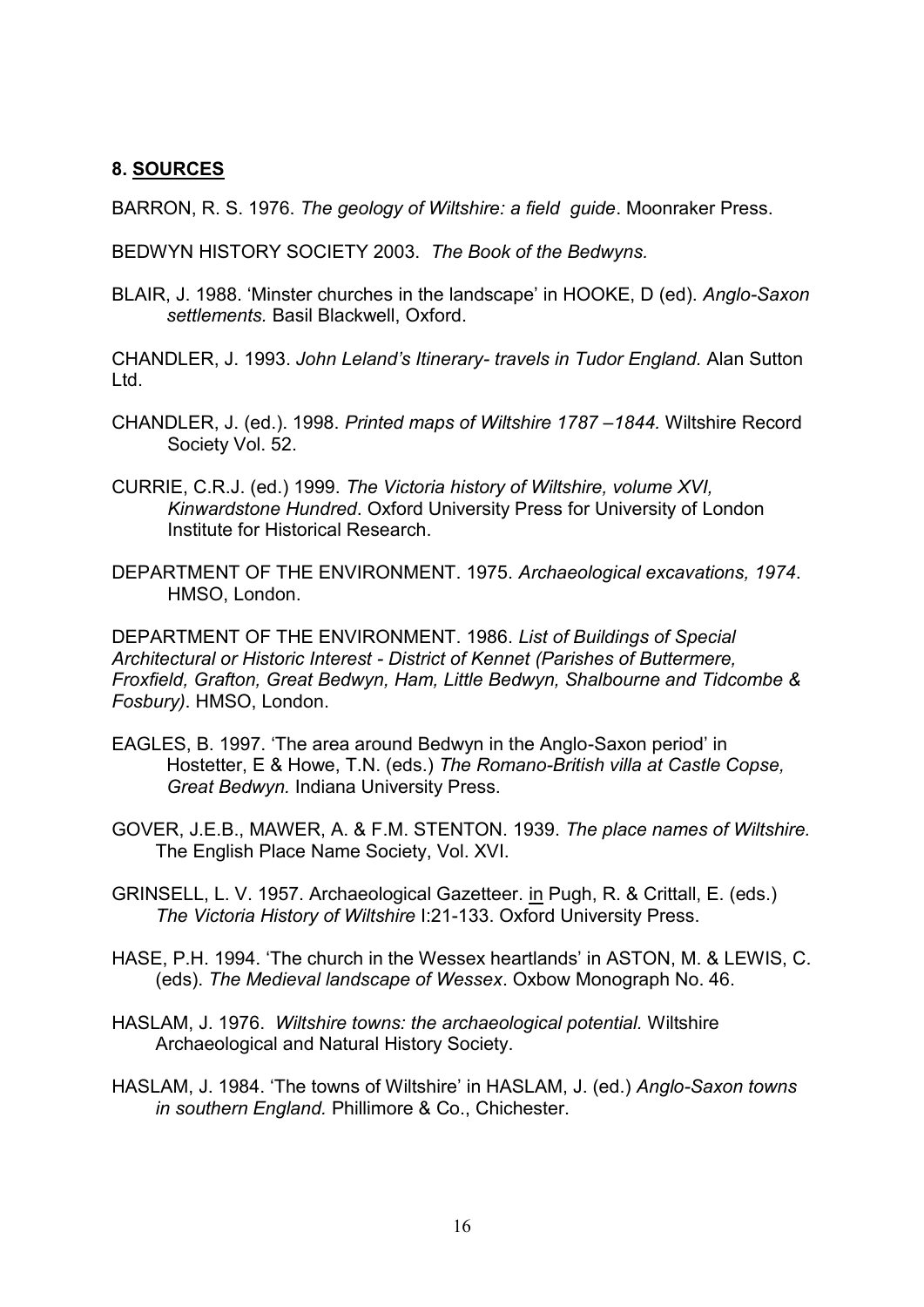#### **8. SOURCES**

BARRON, R. S. 1976. *The geology of Wiltshire: a field guide*. Moonraker Press.

BEDWYN HISTORY SOCIETY 2003. *The Book of the Bedwyns.*

BLAIR, J. 1988. 'Minster churches in the landscape' in HOOKE, D (ed). *Anglo-Saxon settlements.* Basil Blackwell, Oxford.

CHANDLER, J. 1993. *John Leland's Itinerary- travels in Tudor England.* Alan Sutton Ltd.

- CHANDLER, J. (ed.). 1998. *Printed maps of Wiltshire 1787 –1844.* Wiltshire Record Society Vol. 52.
- CURRIE, C.R.J. (ed.) 1999. *The Victoria history of Wiltshire, volume XVI, Kinwardstone Hundred*. Oxford University Press for University of London Institute for Historical Research.
- DEPARTMENT OF THE ENVIRONMENT. 1975. *Archaeological excavations, 1974*. HMSO, London.

DEPARTMENT OF THE ENVIRONMENT. 1986. *List of Buildings of Special Architectural or Historic Interest - District of Kennet (Parishes of Buttermere, Froxfield, Grafton, Great Bedwyn, Ham, Little Bedwyn, Shalbourne and Tidcombe & Fosbury)*. HMSO, London.

- EAGLES, B. 1997. 'The area around Bedwyn in the Anglo-Saxon period' in Hostetter, E & Howe, T.N. (eds.) *The Romano-British villa at Castle Copse, Great Bedwyn.* Indiana University Press.
- GOVER, J.E.B., MAWER, A. & F.M. STENTON. 1939. *The place names of Wiltshire.* The English Place Name Society, Vol. XVI.
- GRINSELL, L. V. 1957. Archaeological Gazetteer. in Pugh, R. & Crittall, E. (eds.) *The Victoria History of Wiltshire* I:21-133. Oxford University Press.
- HASE, P.H. 1994. 'The church in the Wessex heartlands' in ASTON, M. & LEWIS, C. (eds). *The Medieval landscape of Wessex*. Oxbow Monograph No. 46.
- HASLAM, J. 1976. *Wiltshire towns: the archaeological potential.* Wiltshire Archaeological and Natural History Society.
- HASLAM, J. 1984. 'The towns of Wiltshire' in HASLAM, J. (ed.) *Anglo-Saxon towns in southern England.* Phillimore & Co., Chichester.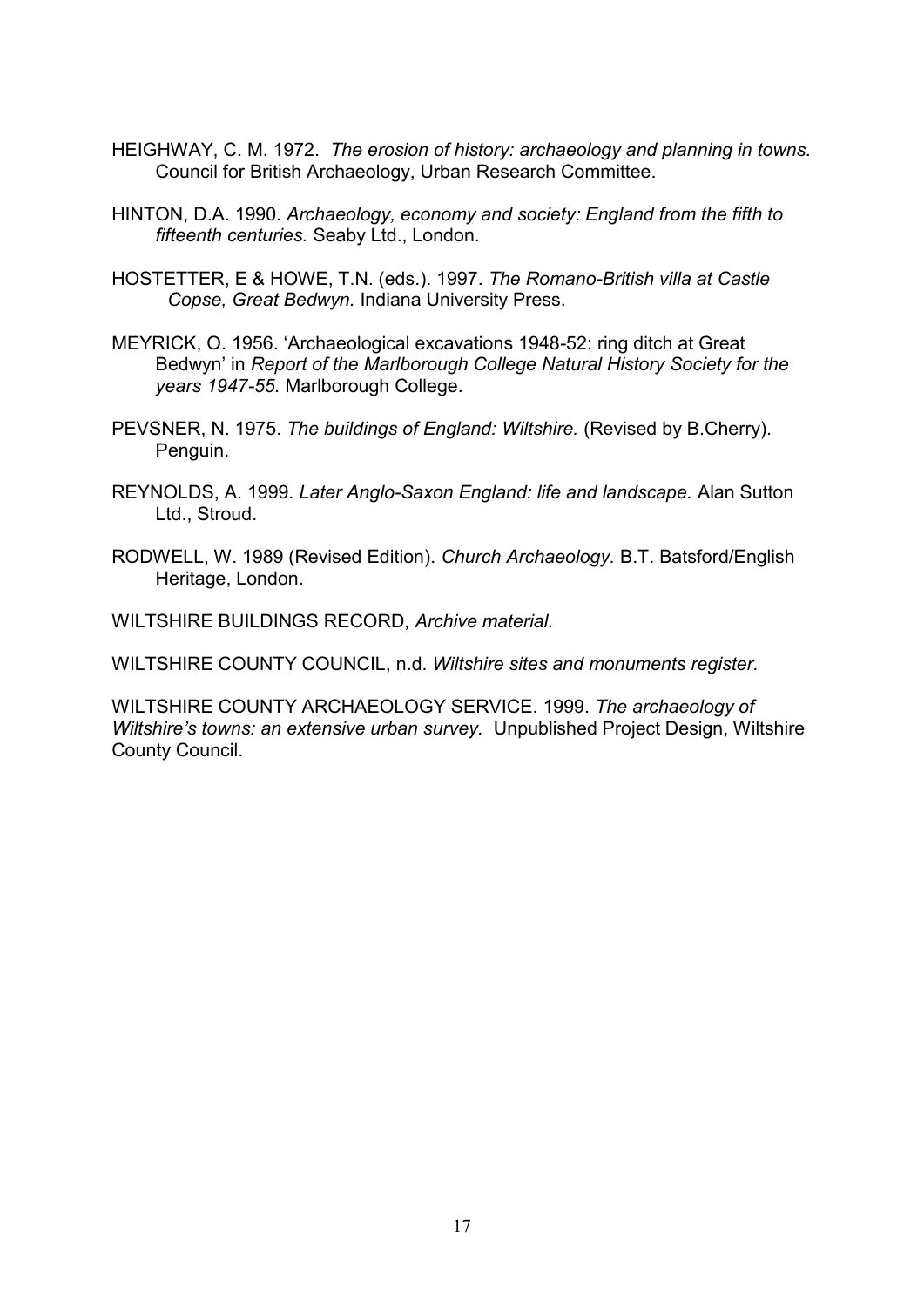- HEIGHWAY, C. M. 1972. *The erosion of history: archaeology and planning in towns.* Council for British Archaeology, Urban Research Committee.
- HINTON, D.A. 1990. *Archaeology, economy and society: England from the fifth to fifteenth centuries.* Seaby Ltd., London.
- HOSTETTER, E & HOWE, T.N. (eds.). 1997. *The Romano-British villa at Castle Copse, Great Bedwyn.* Indiana University Press.
- MEYRICK, O. 1956. 'Archaeological excavations 1948-52: ring ditch at Great Bedwyn' in *Report of the Marlborough College Natural History Society for the years 1947-55.* Marlborough College.
- PEVSNER, N. 1975. *The buildings of England: Wiltshire.* (Revised by B.Cherry). Penguin.
- REYNOLDS, A. 1999. *Later Anglo-Saxon England: life and landscape.* Alan Sutton Ltd., Stroud.
- RODWELL, W. 1989 (Revised Edition). *Church Archaeology.* B.T. Batsford/English Heritage, London.

WILTSHIRE BUILDINGS RECORD, *Archive material.*

WILTSHIRE COUNTY COUNCIL, n.d. *Wiltshire sites and monuments register.*

WILTSHIRE COUNTY ARCHAEOLOGY SERVICE. 1999. *The archaeology of Wiltshire's towns: an extensive urban survey.* Unpublished Project Design, Wiltshire County Council.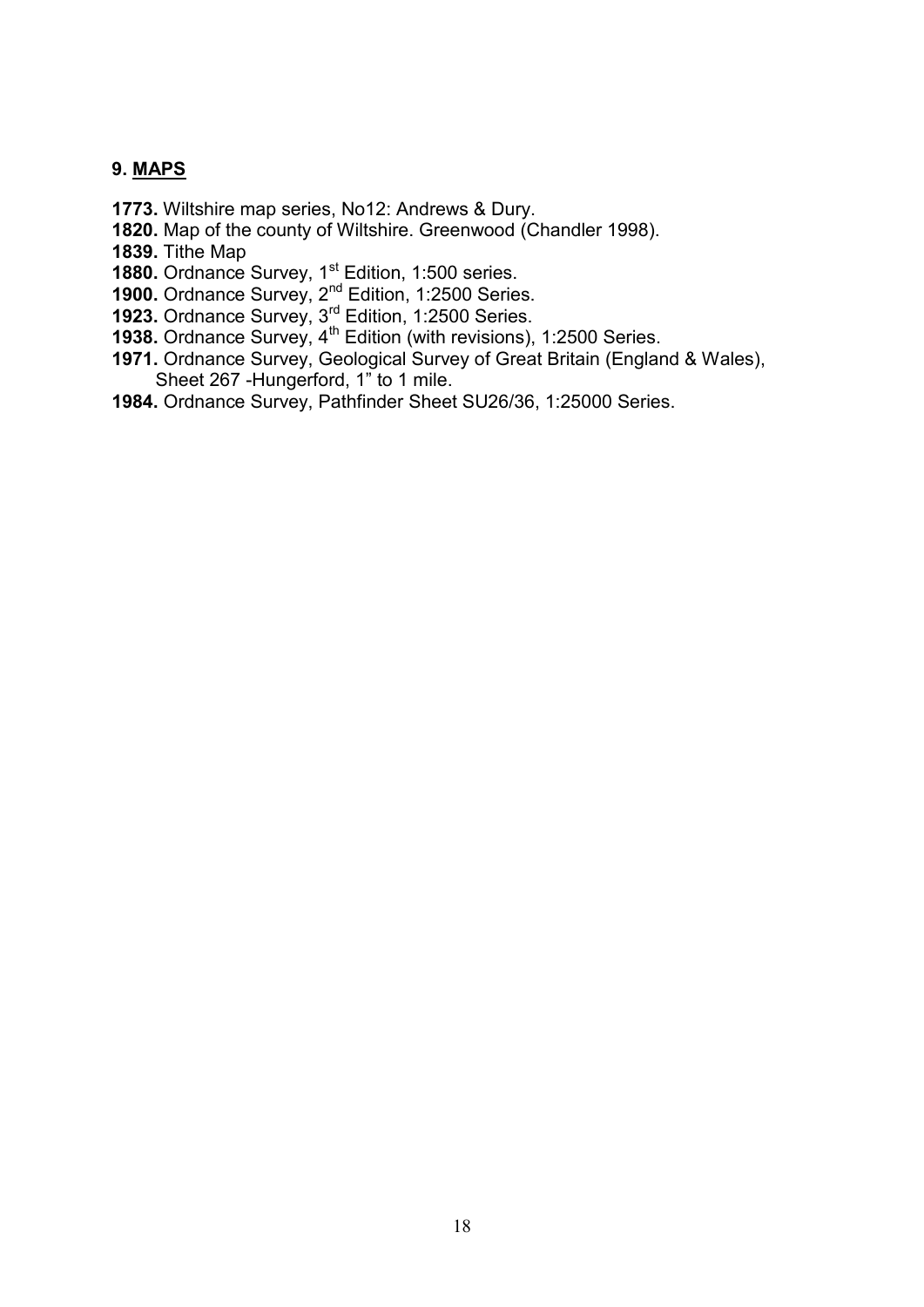## **9. MAPS**

- **1773.** Wiltshire map series, No12: Andrews & Dury.
- **1820.** Map of the county of Wiltshire. Greenwood (Chandler 1998).
- **1839.** Tithe Map
- **1880.** Ordnance Survey, 1<sup>st</sup> Edition, 1:500 series.
- **1900.** Ordnance Survey, 2<sup>nd</sup> Edition, 1:2500 Series.
- **1923.** Ordnance Survey, 3<sup>rd</sup> Edition, 1:2500 Series.
- **1938.** Ordnance Survey, 4<sup>th</sup> Edition (with revisions), 1:2500 Series.
- **1971.** Ordnance Survey, Geological Survey of Great Britain (England & Wales), Sheet 267 -Hungerford, 1" to 1 mile.
- **1984.** Ordnance Survey, Pathfinder Sheet SU26/36, 1:25000 Series.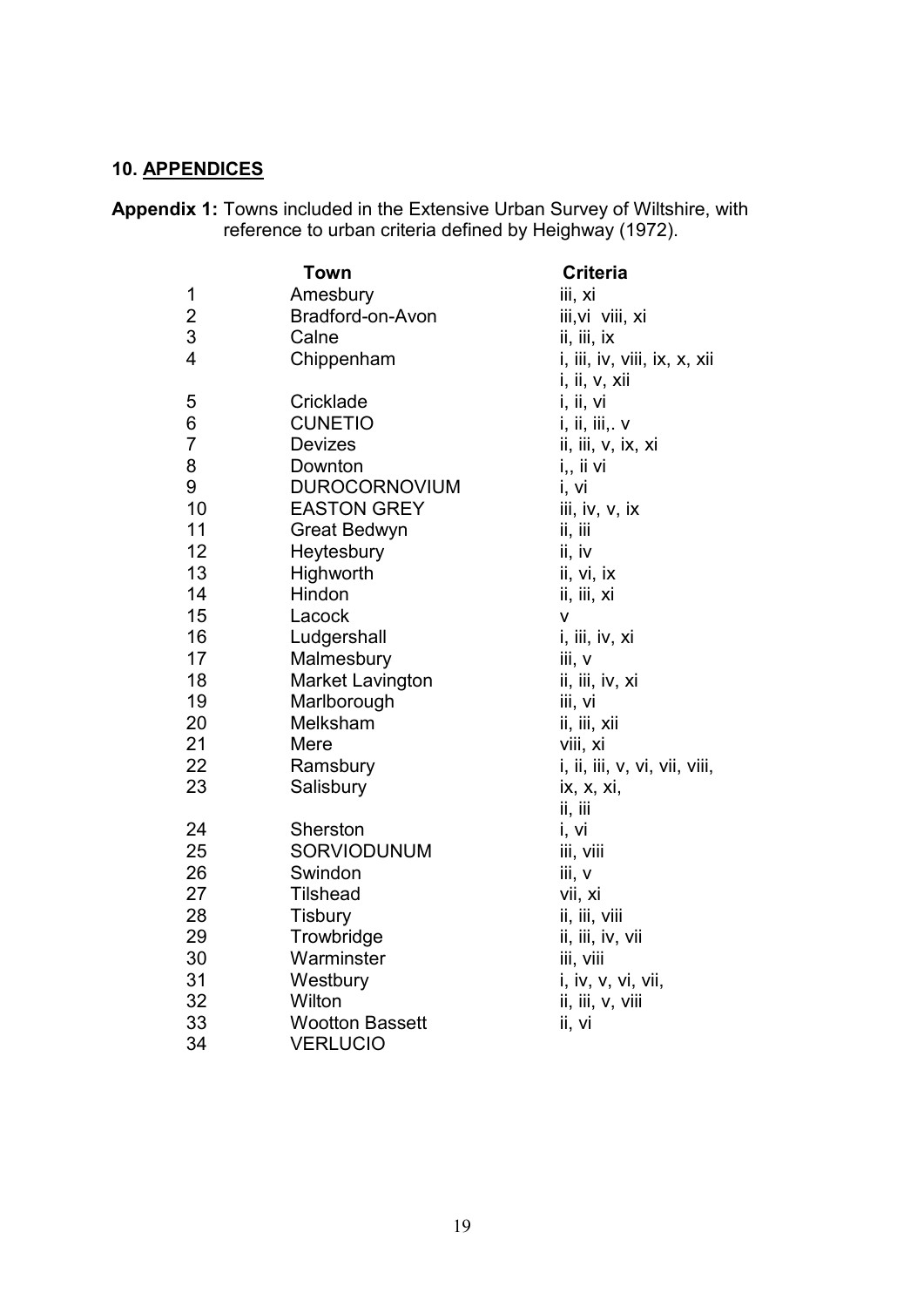## **10. APPENDICES**

**Appendix 1:** Towns included in the Extensive Urban Survey of Wiltshire, with reference to urban criteria defined by Heighway (1972).

|                         | Town                    | <b>Criteria</b>               |
|-------------------------|-------------------------|-------------------------------|
| 1                       | Amesbury                | iii, xi                       |
| $\overline{\mathbf{c}}$ | Bradford-on-Avon        | iii, vi viii, xi              |
| 3                       | Calne                   | ii, iii, ix                   |
| $\overline{4}$          | Chippenham              | i, iii, iv, viii, ix, x, xii  |
|                         |                         | i, ii, v, xii                 |
| 5                       | Cricklade               | i, ii, vi                     |
| 6                       | <b>CUNETIO</b>          | i, ii, iii,. v                |
| $\overline{7}$          | <b>Devizes</b>          | ii, iii, v, ix, xi            |
| 8                       | Downton                 | i., ii vi                     |
| 9                       | <b>DUROCORNOVIUM</b>    | i, vi                         |
| 10                      | <b>EASTON GREY</b>      | iii, iv, v, ix                |
| 11                      | Great Bedwyn            | ii, iii                       |
| 12                      | Heytesbury              | ii, iv                        |
| 13                      | Highworth               | ii, vi, ix                    |
| 14                      | Hindon                  | ii, iii, xi                   |
| 15                      | Lacock                  | V                             |
| 16                      | Ludgershall             | i, iii, iv, xi                |
| 17                      | Malmesbury              | iii, v                        |
| 18                      | <b>Market Lavington</b> | ii, iii, iv, xi               |
| 19                      | Marlborough             | iii, vi                       |
| 20                      | Melksham                | ii, iii, xii                  |
| 21                      | Mere                    | viii, xi                      |
| 22                      | Ramsbury                | i, ii, iii, v, vi, vii, viii, |
| 23                      | Salisbury               | ix, x, xi,                    |
|                         |                         | ii, iii                       |
| 24                      | Sherston                | i, vi                         |
| 25                      | SORVIODUNUM             | iii, viii                     |
| 26                      | Swindon                 | iii, v                        |
| 27                      | <b>Tilshead</b>         | vii, xi                       |
| 28                      | <b>Tisbury</b>          | ii, iii, viii                 |
| 29                      | Trowbridge              | ii, iii, iv, vii              |
| 30                      | Warminster              | iii, viii                     |
| 31                      | Westbury                | i, iv, v, vi, vii,            |
| 32                      | Wilton                  | ii, iii, v, viii              |
| 33                      | <b>Wootton Bassett</b>  | ii, vi                        |
| 34                      | <b>VERLUCIO</b>         |                               |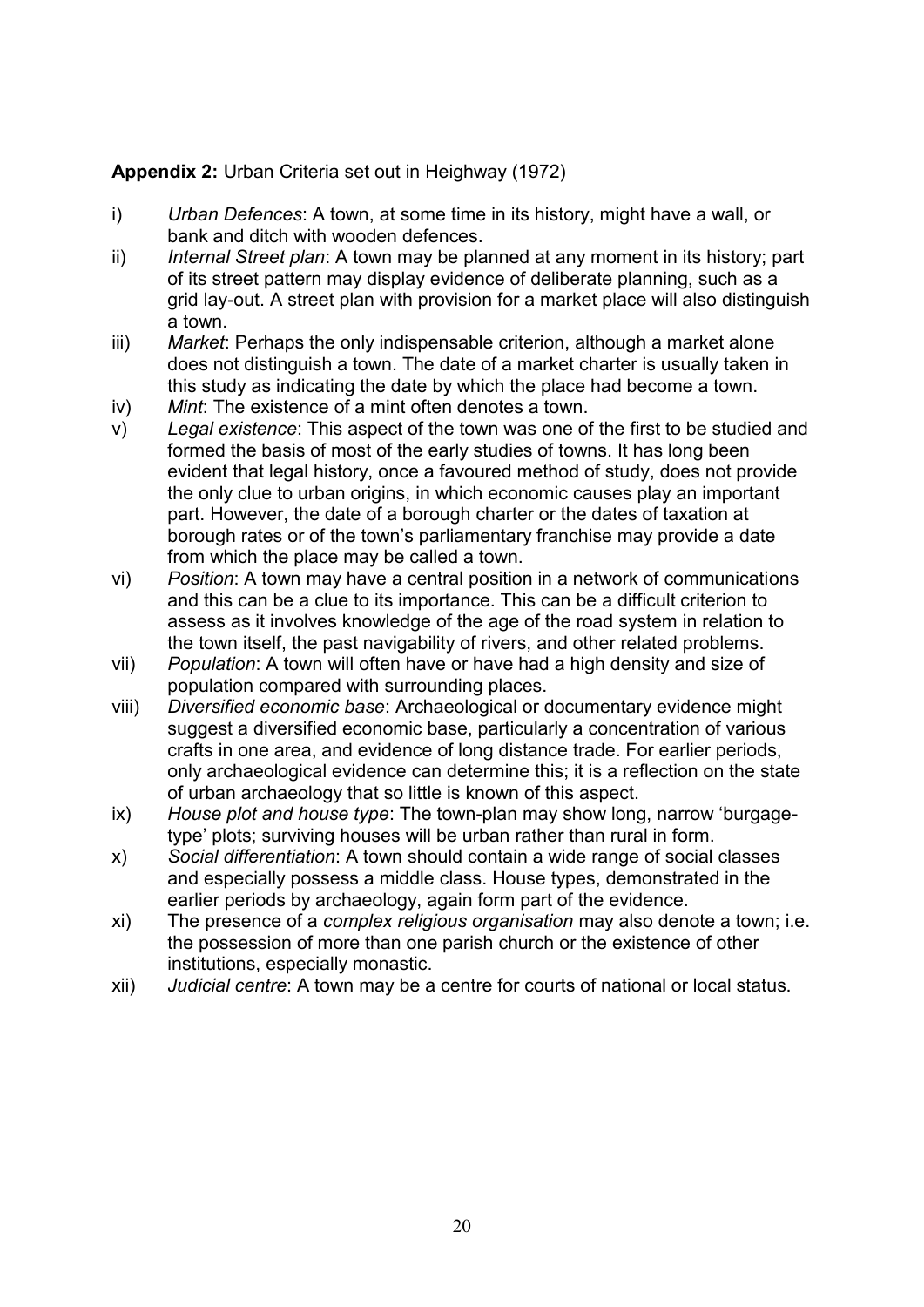## **Appendix 2:** Urban Criteria set out in Heighway (1972)

- i) *Urban Defences*: A town, at some time in its history, might have a wall, or bank and ditch with wooden defences.
- ii) *Internal Street plan*: A town may be planned at any moment in its history; part of its street pattern may display evidence of deliberate planning, such as a grid lay-out. A street plan with provision for a market place will also distinguish a town.
- iii) *Market*: Perhaps the only indispensable criterion, although a market alone does not distinguish a town. The date of a market charter is usually taken in this study as indicating the date by which the place had become a town.
- iv) *Mint*: The existence of a mint often denotes a town.
- v) *Legal existence*: This aspect of the town was one of the first to be studied and formed the basis of most of the early studies of towns. It has long been evident that legal history, once a favoured method of study, does not provide the only clue to urban origins, in which economic causes play an important part. However, the date of a borough charter or the dates of taxation at borough rates or of the town's parliamentary franchise may provide a date from which the place may be called a town.
- vi) *Position*: A town may have a central position in a network of communications and this can be a clue to its importance. This can be a difficult criterion to assess as it involves knowledge of the age of the road system in relation to the town itself, the past navigability of rivers, and other related problems.
- vii) *Population*: A town will often have or have had a high density and size of population compared with surrounding places.
- viii) *Diversified economic base*: Archaeological or documentary evidence might suggest a diversified economic base, particularly a concentration of various crafts in one area, and evidence of long distance trade. For earlier periods, only archaeological evidence can determine this; it is a reflection on the state of urban archaeology that so little is known of this aspect.
- ix) *House plot and house type*: The town-plan may show long, narrow 'burgagetype' plots; surviving houses will be urban rather than rural in form.
- x) *Social differentiation*: A town should contain a wide range of social classes and especially possess a middle class. House types, demonstrated in the earlier periods by archaeology, again form part of the evidence.
- xi) The presence of a *complex religious organisation* may also denote a town; i.e. the possession of more than one parish church or the existence of other institutions, especially monastic.
- xii) *Judicial centre*: A town may be a centre for courts of national or local status.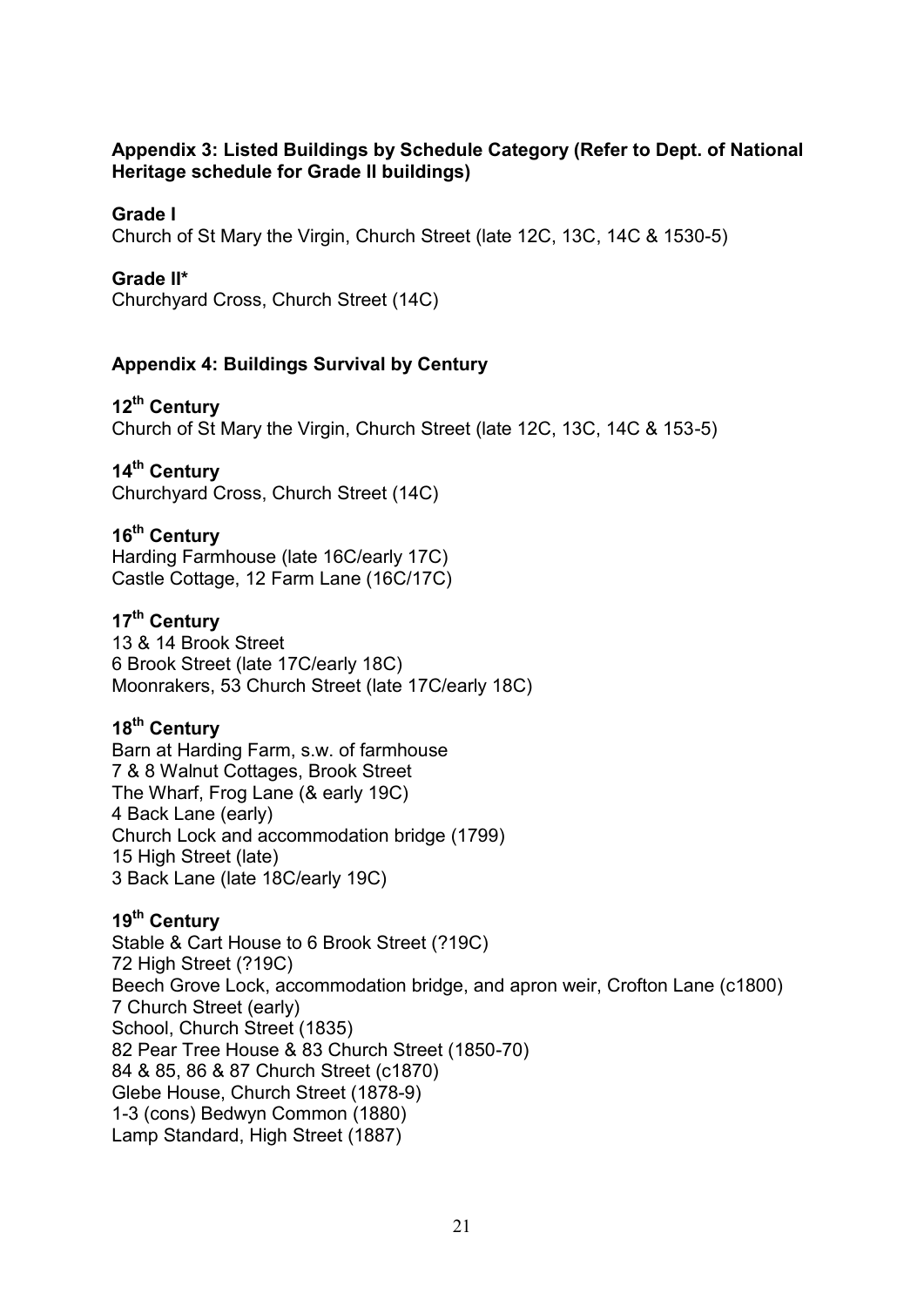## **Appendix 3: Listed Buildings by Schedule Category (Refer to Dept. of National Heritage schedule for Grade II buildings)**

## **Grade I**

Church of St Mary the Virgin, Church Street (late 12C, 13C, 14C & 1530-5)

## **Grade II\***

Churchyard Cross, Church Street (14C)

## **Appendix 4: Buildings Survival by Century**

## **12th Century**

Church of St Mary the Virgin, Church Street (late 12C, 13C, 14C & 153-5)

## **14th Century**

Churchyard Cross, Church Street (14C)

## **16th Century**

Harding Farmhouse (late 16C/early 17C) Castle Cottage, 12 Farm Lane (16C/17C)

## **17th Century**

13 & 14 Brook Street 6 Brook Street (late 17C/early 18C) Moonrakers, 53 Church Street (late 17C/early 18C)

## **18th Century**

Barn at Harding Farm, s.w. of farmhouse 7 & 8 Walnut Cottages, Brook Street The Wharf, Frog Lane (& early 19C) 4 Back Lane (early) Church Lock and accommodation bridge (1799) 15 High Street (late) 3 Back Lane (late 18C/early 19C)

#### **19th Century**

Stable & Cart House to 6 Brook Street (?19C) 72 High Street (?19C) Beech Grove Lock, accommodation bridge, and apron weir, Crofton Lane (c1800) 7 Church Street (early) School, Church Street (1835) 82 Pear Tree House & 83 Church Street (1850-70) 84 & 85, 86 & 87 Church Street (c1870) Glebe House, Church Street (1878-9) 1-3 (cons) Bedwyn Common (1880) Lamp Standard, High Street (1887)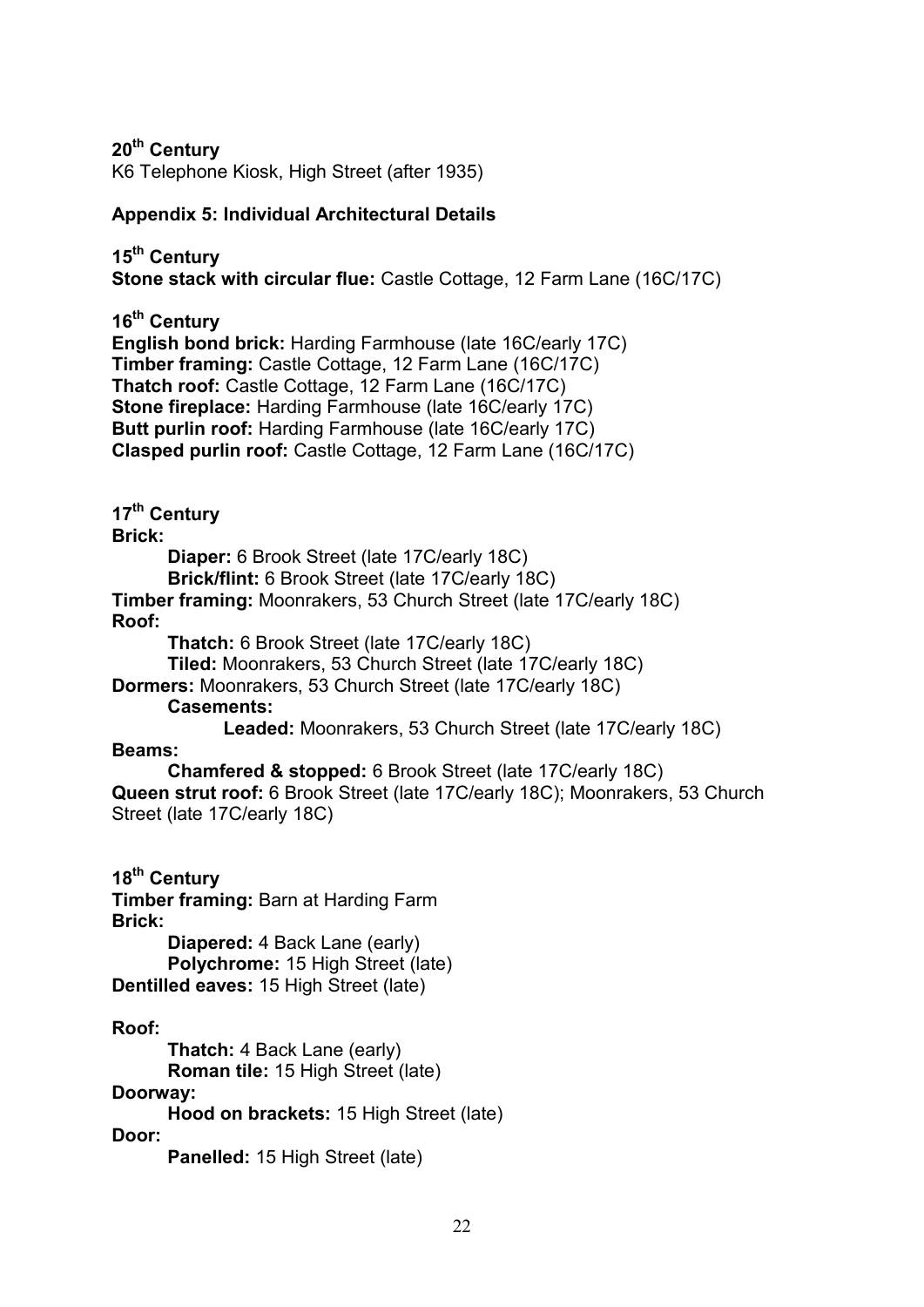**20th Century**

K6 Telephone Kiosk, High Street (after 1935)

## **Appendix 5: Individual Architectural Details**

**15th Century Stone stack with circular flue:** Castle Cottage, 12 Farm Lane (16C/17C)

**16th Century English bond brick:** Harding Farmhouse (late 16C/early 17C) **Timber framing:** Castle Cottage, 12 Farm Lane (16C/17C) **Thatch roof:** Castle Cottage, 12 Farm Lane (16C/17C) **Stone fireplace:** Harding Farmhouse (late 16C/early 17C) **Butt purlin roof:** Harding Farmhouse (late 16C/early 17C) **Clasped purlin roof:** Castle Cottage, 12 Farm Lane (16C/17C)

**17th Century**

**Brick:**

**Diaper:** 6 Brook Street (late 17C/early 18C)

**Brick/flint:** 6 Brook Street (late 17C/early 18C)

**Timber framing:** Moonrakers, 53 Church Street (late 17C/early 18C) **Roof:** 

**Thatch:** 6 Brook Street (late 17C/early 18C)

**Tiled:** Moonrakers, 53 Church Street (late 17C/early 18C)

**Dormers:** Moonrakers, 53 Church Street (late 17C/early 18C)

**Casements:** 

**Leaded:** Moonrakers, 53 Church Street (late 17C/early 18C)

**Beams:**

**Chamfered & stopped:** 6 Brook Street (late 17C/early 18C) **Queen strut roof:** 6 Brook Street (late 17C/early 18C); Moonrakers, 53 Church Street (late 17C/early 18C)

**18th Century**

**Timber framing:** Barn at Harding Farm **Brick:**

**Diapered:** 4 Back Lane (early) **Polychrome:** 15 High Street (late) **Dentilled eaves:** 15 High Street (late)

**Roof:**

**Thatch:** 4 Back Lane (early) **Roman tile:** 15 High Street (late)

**Doorway:**

**Hood on brackets:** 15 High Street (late)

**Door:**

**Panelled:** 15 High Street (late)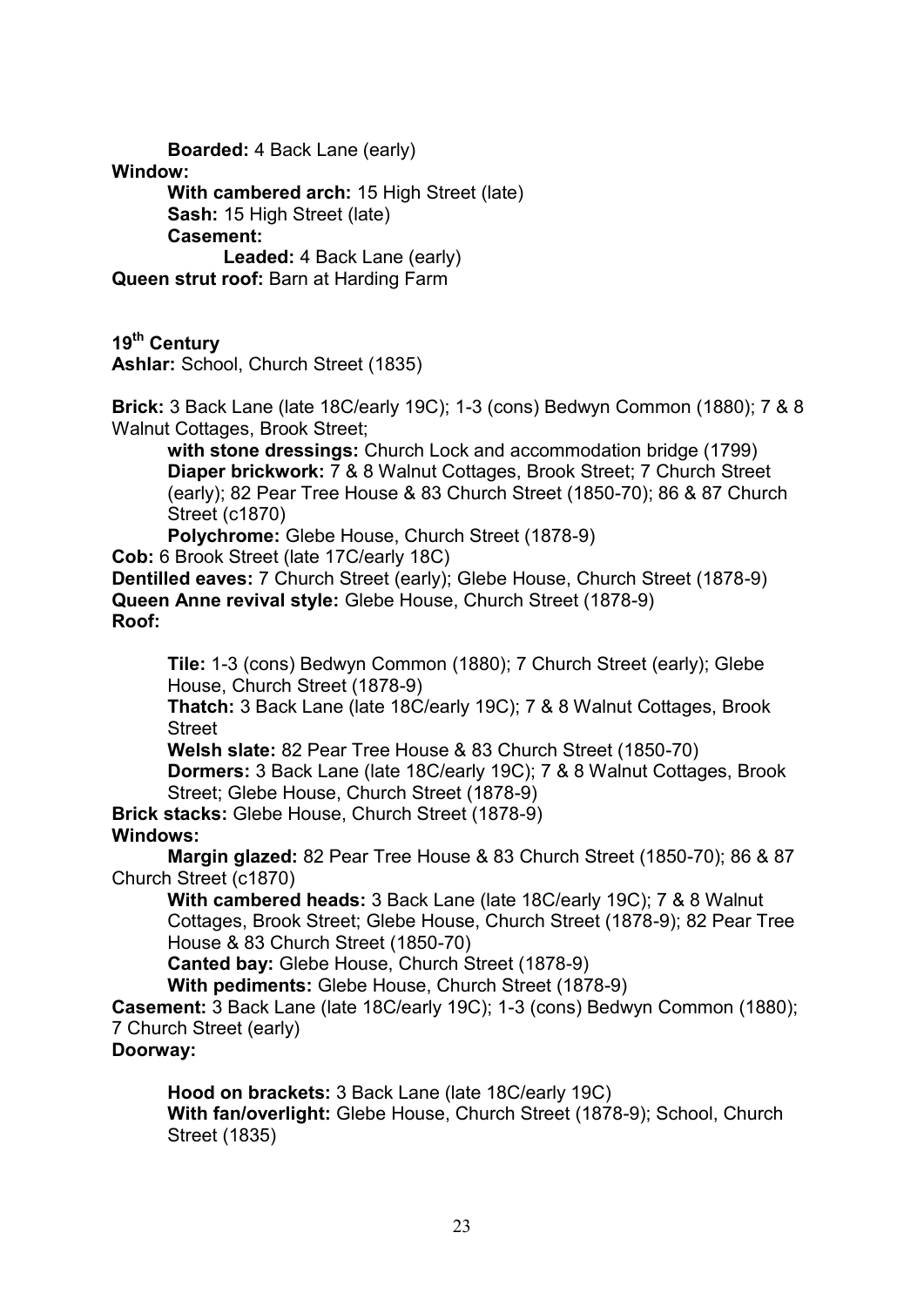**Boarded:** 4 Back Lane (early) **Window: With cambered arch:** 15 High Street (late) **Sash:** 15 High Street (late) **Casement: Leaded:** 4 Back Lane (early) **Queen strut roof:** Barn at Harding Farm **19th Century Ashlar:** School, Church Street (1835) **Brick:** 3 Back Lane (late 18C/early 19C); 1-3 (cons) Bedwyn Common (1880); 7 & 8 Walnut Cottages, Brook Street; **with stone dressings:** Church Lock and accommodation bridge (1799) **Diaper brickwork:** 7 & 8 Walnut Cottages, Brook Street; 7 Church Street (early); 82 Pear Tree House & 83 Church Street (1850-70); 86 & 87 Church Street (c1870) **Polychrome:** Glebe House, Church Street (1878-9) **Cob:** 6 Brook Street (late 17C/early 18C) **Dentilled eaves:** 7 Church Street (early); Glebe House, Church Street (1878-9) **Queen Anne revival style:** Glebe House, Church Street (1878-9) **Roof: Tile:** 1-3 (cons) Bedwyn Common (1880); 7 Church Street (early); Glebe House, Church Street (1878-9) **Thatch:** 3 Back Lane (late 18C/early 19C); 7 & 8 Walnut Cottages, Brook **Street Welsh slate:** 82 Pear Tree House & 83 Church Street (1850-70) **Dormers:** 3 Back Lane (late 18C/early 19C); 7 & 8 Walnut Cottages, Brook Street; Glebe House, Church Street (1878-9) **Brick stacks:** Glebe House, Church Street (1878-9) **Windows: Margin glazed:** 82 Pear Tree House & 83 Church Street (1850-70); 86 & 87 Church Street (c1870) **With cambered heads:** 3 Back Lane (late 18C/early 19C); 7 & 8 Walnut Cottages, Brook Street; Glebe House, Church Street (1878-9); 82 Pear Tree House & 83 Church Street (1850-70) **Canted bay:** Glebe House, Church Street (1878-9) **With pediments:** Glebe House, Church Street (1878-9) **Casement:** 3 Back Lane (late 18C/early 19C); 1-3 (cons) Bedwyn Common (1880); 7 Church Street (early) **Doorway: Hood on brackets:** 3 Back Lane (late 18C/early 19C) **With fan/overlight:** Glebe House, Church Street (1878-9); School, Church Street (1835)